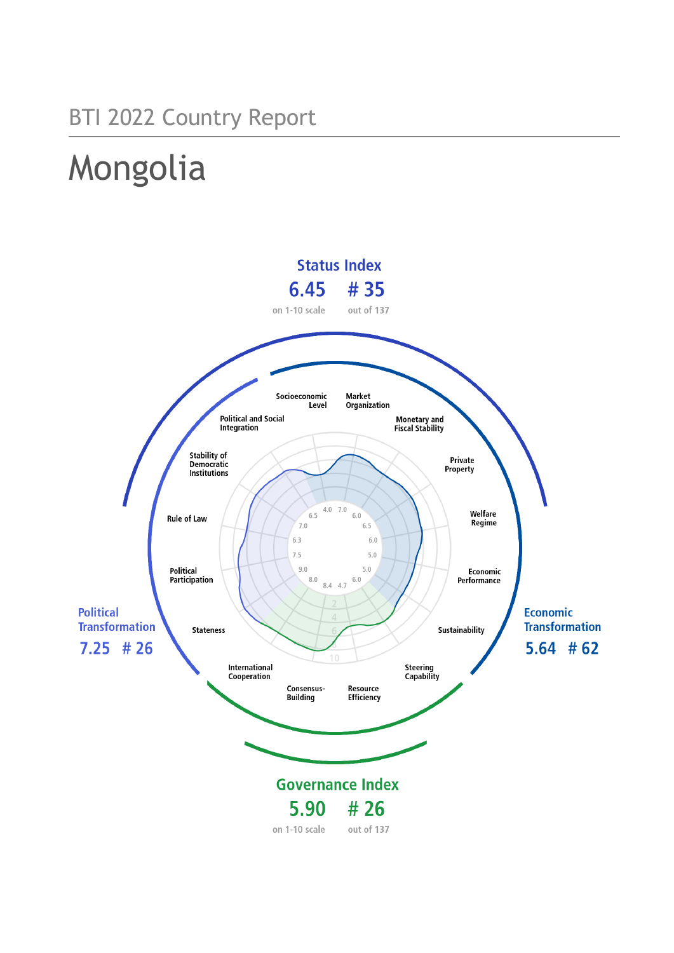## BTI 2022 Country Report

# Mongolia

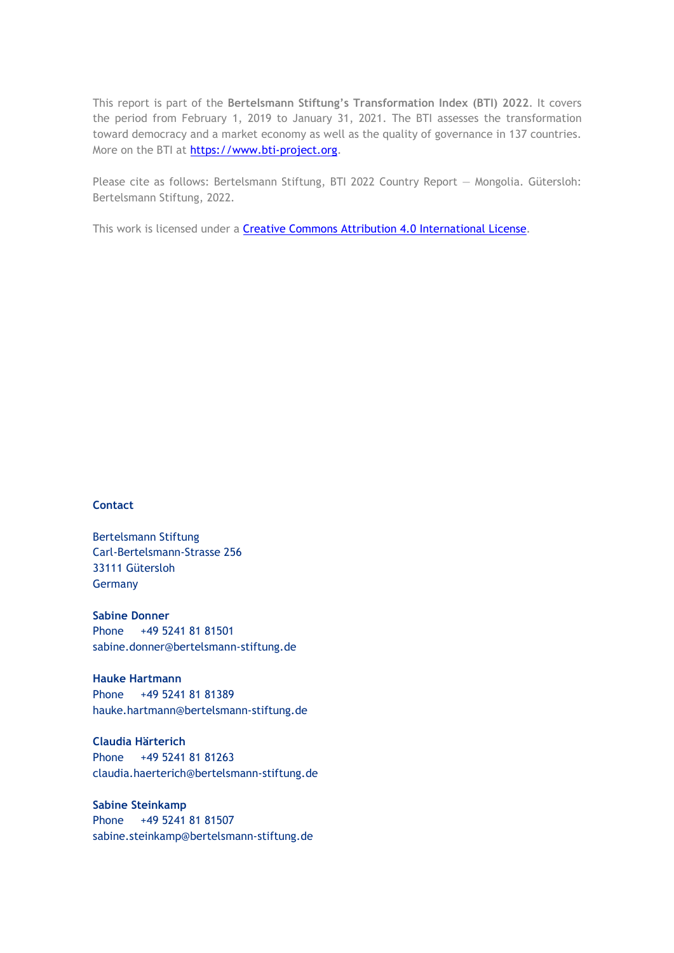This report is part of the **Bertelsmann Stiftung's Transformation Index (BTI) 2022**. It covers the period from February 1, 2019 to January 31, 2021. The BTI assesses the transformation toward democracy and a market economy as well as the quality of governance in 137 countries. More on the BTI at [https://www.bti-project.org.](https://www.bti-project.org/)

Please cite as follows: Bertelsmann Stiftung, BTI 2022 Country Report — Mongolia. Gütersloh: Bertelsmann Stiftung, 2022.

This work is licensed under a **Creative Commons Attribution 4.0 International License**.

#### **Contact**

Bertelsmann Stiftung Carl-Bertelsmann-Strasse 256 33111 Gütersloh Germany

**Sabine Donner** Phone +49 5241 81 81501 sabine.donner@bertelsmann-stiftung.de

**Hauke Hartmann** Phone +49 5241 81 81389 hauke.hartmann@bertelsmann-stiftung.de

**Claudia Härterich** Phone +49 5241 81 81263 claudia.haerterich@bertelsmann-stiftung.de

#### **Sabine Steinkamp** Phone +49 5241 81 81507 sabine.steinkamp@bertelsmann-stiftung.de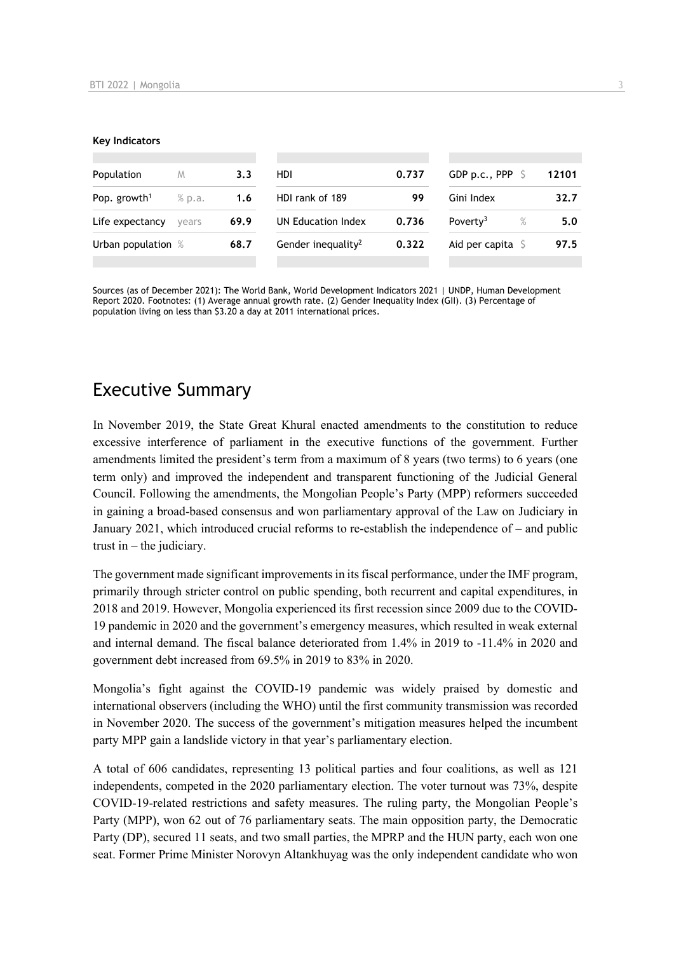#### **Key Indicators**

| Population               | M      | 3.3  | HDI                            | 0.737 | GDP p.c., PPP $\ S$          | 12101 |
|--------------------------|--------|------|--------------------------------|-------|------------------------------|-------|
| Pop. growth <sup>1</sup> | % p.a. | 1.6  | HDI rank of 189                | 99    | Gini Index                   | 32.7  |
| Life expectancy          | vears  | 69.9 | UN Education Index             | 0.736 | Poverty <sup>3</sup><br>$\%$ | 5.0   |
| Urban population %       |        | 68.7 | Gender inequality <sup>2</sup> | 0.322 | Aid per capita               | 97.5  |
|                          |        |      |                                |       |                              |       |

Sources (as of December 2021): The World Bank, World Development Indicators 2021 | UNDP, Human Development Report 2020. Footnotes: (1) Average annual growth rate. (2) Gender Inequality Index (GII). (3) Percentage of population living on less than \$3.20 a day at 2011 international prices.

## Executive Summary

In November 2019, the State Great Khural enacted amendments to the constitution to reduce excessive interference of parliament in the executive functions of the government. Further amendments limited the president's term from a maximum of 8 years (two terms) to 6 years (one term only) and improved the independent and transparent functioning of the Judicial General Council. Following the amendments, the Mongolian People's Party (MPP) reformers succeeded in gaining a broad-based consensus and won parliamentary approval of the Law on Judiciary in January 2021, which introduced crucial reforms to re-establish the independence of – and public trust in  $-$  the judiciary.

The government made significant improvements in its fiscal performance, under the IMF program, primarily through stricter control on public spending, both recurrent and capital expenditures, in 2018 and 2019. However, Mongolia experienced its first recession since 2009 due to the COVID-19 pandemic in 2020 and the government's emergency measures, which resulted in weak external and internal demand. The fiscal balance deteriorated from 1.4% in 2019 to -11.4% in 2020 and government debt increased from 69.5% in 2019 to 83% in 2020.

Mongolia's fight against the COVID-19 pandemic was widely praised by domestic and international observers (including the WHO) until the first community transmission was recorded in November 2020. The success of the government's mitigation measures helped the incumbent party MPP gain a landslide victory in that year's parliamentary election.

A total of 606 candidates, representing 13 political parties and four coalitions, as well as 121 independents, competed in the 2020 parliamentary election. The voter turnout was 73%, despite COVID-19-related restrictions and safety measures. The ruling party, the Mongolian People's Party (MPP), won 62 out of 76 parliamentary seats. The main opposition party, the Democratic Party (DP), secured 11 seats, and two small parties, the MPRP and the HUN party, each won one seat. Former Prime Minister Norovyn Altankhuyag was the only independent candidate who won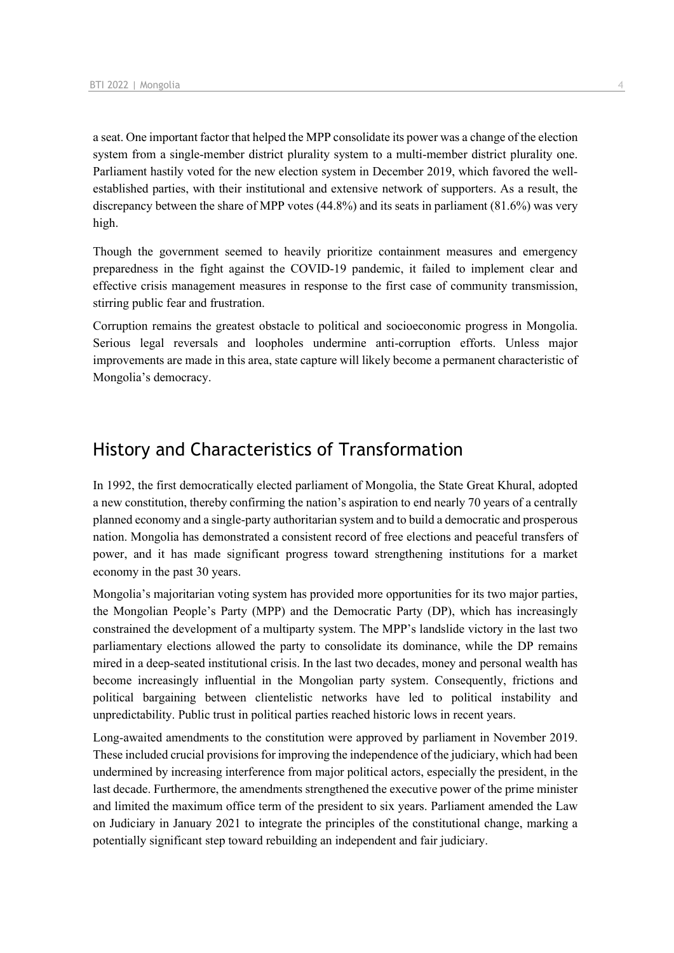a seat. One important factor that helped the MPP consolidate its power was a change of the election system from a single-member district plurality system to a multi-member district plurality one. Parliament hastily voted for the new election system in December 2019, which favored the wellestablished parties, with their institutional and extensive network of supporters. As a result, the discrepancy between the share of MPP votes (44.8%) and its seats in parliament (81.6%) was very high.

Though the government seemed to heavily prioritize containment measures and emergency preparedness in the fight against the COVID-19 pandemic, it failed to implement clear and effective crisis management measures in response to the first case of community transmission, stirring public fear and frustration.

Corruption remains the greatest obstacle to political and socioeconomic progress in Mongolia. Serious legal reversals and loopholes undermine anti-corruption efforts. Unless major improvements are made in this area, state capture will likely become a permanent characteristic of Mongolia's democracy.

## History and Characteristics of Transformation

In 1992, the first democratically elected parliament of Mongolia, the State Great Khural, adopted a new constitution, thereby confirming the nation's aspiration to end nearly 70 years of a centrally planned economy and a single-party authoritarian system and to build a democratic and prosperous nation. Mongolia has demonstrated a consistent record of free elections and peaceful transfers of power, and it has made significant progress toward strengthening institutions for a market economy in the past 30 years.

Mongolia's majoritarian voting system has provided more opportunities for its two major parties, the Mongolian People's Party (MPP) and the Democratic Party (DP), which has increasingly constrained the development of a multiparty system. The MPP's landslide victory in the last two parliamentary elections allowed the party to consolidate its dominance, while the DP remains mired in a deep-seated institutional crisis. In the last two decades, money and personal wealth has become increasingly influential in the Mongolian party system. Consequently, frictions and political bargaining between clientelistic networks have led to political instability and unpredictability. Public trust in political parties reached historic lows in recent years.

Long-awaited amendments to the constitution were approved by parliament in November 2019. These included crucial provisions for improving the independence of the judiciary, which had been undermined by increasing interference from major political actors, especially the president, in the last decade. Furthermore, the amendments strengthened the executive power of the prime minister and limited the maximum office term of the president to six years. Parliament amended the Law on Judiciary in January 2021 to integrate the principles of the constitutional change, marking a potentially significant step toward rebuilding an independent and fair judiciary.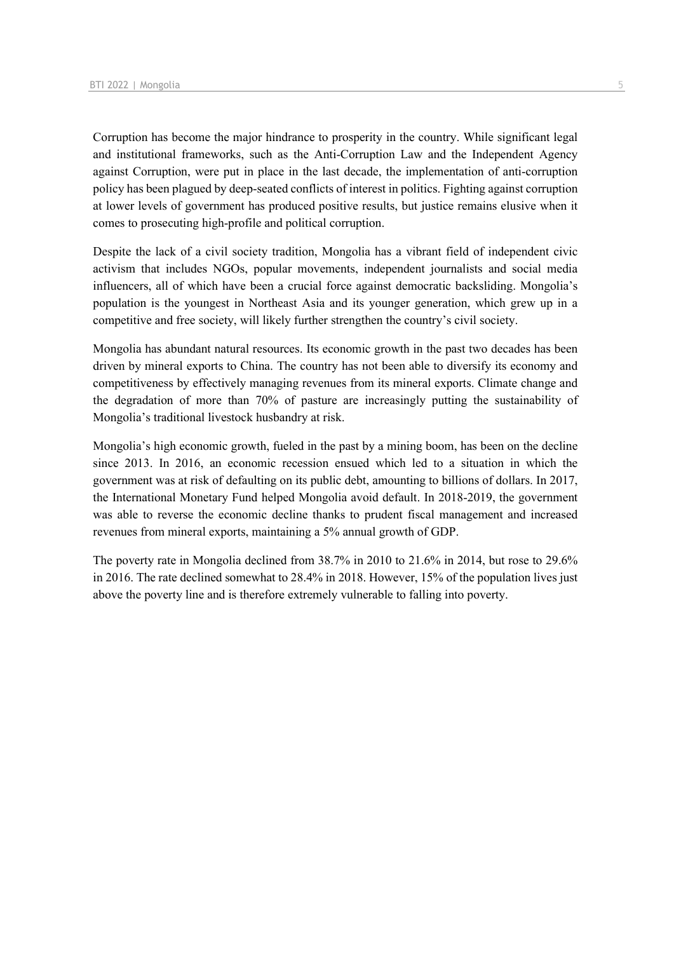Corruption has become the major hindrance to prosperity in the country. While significant legal and institutional frameworks, such as the Anti-Corruption Law and the Independent Agency against Corruption, were put in place in the last decade, the implementation of anti-corruption policy has been plagued by deep-seated conflicts of interest in politics. Fighting against corruption at lower levels of government has produced positive results, but justice remains elusive when it comes to prosecuting high-profile and political corruption.

Despite the lack of a civil society tradition, Mongolia has a vibrant field of independent civic activism that includes NGOs, popular movements, independent journalists and social media influencers, all of which have been a crucial force against democratic backsliding. Mongolia's population is the youngest in Northeast Asia and its younger generation, which grew up in a competitive and free society, will likely further strengthen the country's civil society.

Mongolia has abundant natural resources. Its economic growth in the past two decades has been driven by mineral exports to China. The country has not been able to diversify its economy and competitiveness by effectively managing revenues from its mineral exports. Climate change and the degradation of more than 70% of pasture are increasingly putting the sustainability of Mongolia's traditional livestock husbandry at risk.

Mongolia's high economic growth, fueled in the past by a mining boom, has been on the decline since 2013. In 2016, an economic recession ensued which led to a situation in which the government was at risk of defaulting on its public debt, amounting to billions of dollars. In 2017, the International Monetary Fund helped Mongolia avoid default. In 2018-2019, the government was able to reverse the economic decline thanks to prudent fiscal management and increased revenues from mineral exports, maintaining a 5% annual growth of GDP.

The poverty rate in Mongolia declined from 38.7% in 2010 to 21.6% in 2014, but rose to 29.6% in 2016. The rate declined somewhat to 28.4% in 2018. However, 15% of the population lives just above the poverty line and is therefore extremely vulnerable to falling into poverty.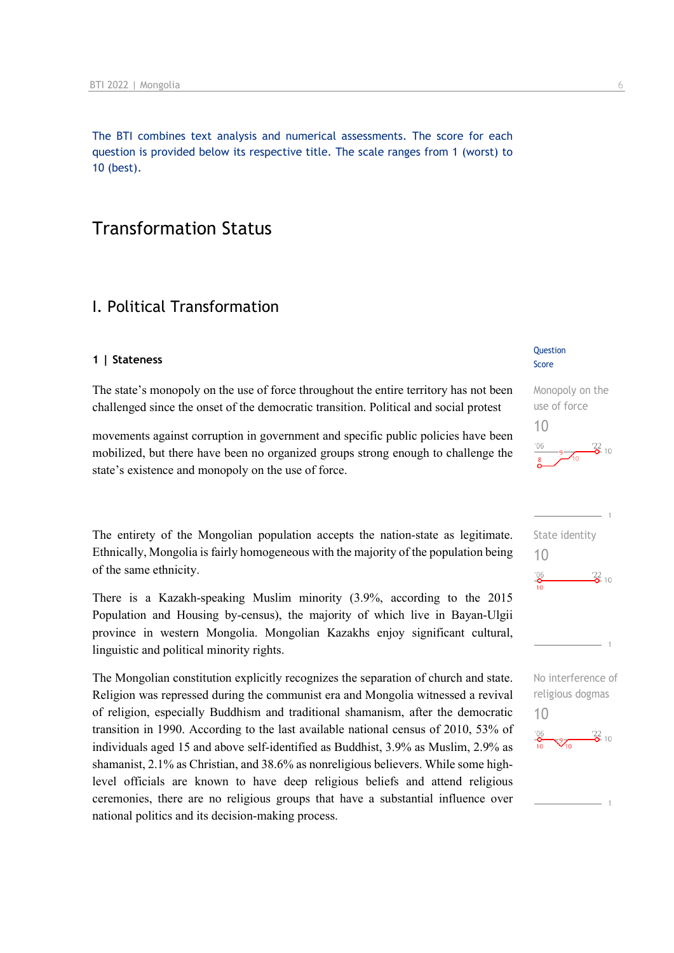The BTI combines text analysis and numerical assessments. The score for each question is provided below its respective title. The scale ranges from 1 (worst) to 10 (best).

## Transformation Status

## I. Political Transformation

#### **1 | Stateness**

The state's monopoly on the use of force throughout the entire territory has not been challenged since the onset of the democratic transition. Political and social protest

movements against corruption in government and specific public policies have been mobilized, but there have been no organized groups strong enough to challenge the state's existence and monopoly on the use of force.

The entirety of the Mongolian population accepts the nation-state as legitimate. Ethnically, Mongolia is fairly homogeneous with the majority of the population being of the same ethnicity.

There is a Kazakh-speaking Muslim minority (3.9%, according to the 2015 Population and Housing by-census), the majority of which live in Bayan-Ulgii province in western Mongolia. Mongolian Kazakhs enjoy significant cultural, linguistic and political minority rights.

The Mongolian constitution explicitly recognizes the separation of church and state. Religion was repressed during the communist era and Mongolia witnessed a revival of religion, especially Buddhism and traditional shamanism, after the democratic transition in 1990. According to the last available national census of 2010, 53% of individuals aged 15 and above self-identified as Buddhist, 3.9% as Muslim, 2.9% as shamanist, 2.1% as Christian, and 38.6% as nonreligious believers. While some highlevel officials are known to have deep religious beliefs and attend religious ceremonies, there are no religious groups that have a substantial influence over national politics and its decision-making process.

#### **Question** Score

### Monopoly on the use of force 10





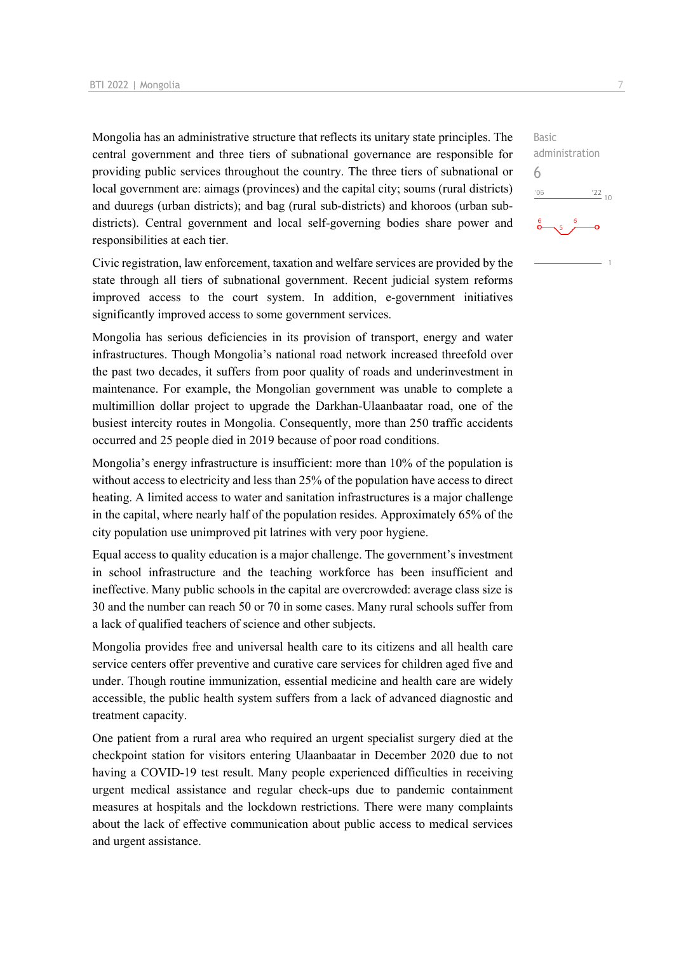Mongolia has an administrative structure that reflects its unitary state principles. The central government and three tiers of subnational governance are responsible for providing public services throughout the country. The three tiers of subnational or local government are: aimags (provinces) and the capital city; soums (rural districts) and duuregs (urban districts); and bag (rural sub-districts) and khoroos (urban subdistricts). Central government and local self-governing bodies share power and responsibilities at each tier.

Civic registration, law enforcement, taxation and welfare services are provided by the state through all tiers of subnational government. Recent judicial system reforms improved access to the court system. In addition, e-government initiatives significantly improved access to some government services.

Mongolia has serious deficiencies in its provision of transport, energy and water infrastructures. Though Mongolia's national road network increased threefold over the past two decades, it suffers from poor quality of roads and underinvestment in maintenance. For example, the Mongolian government was unable to complete a multimillion dollar project to upgrade the Darkhan-Ulaanbaatar road, one of the busiest intercity routes in Mongolia. Consequently, more than 250 traffic accidents occurred and 25 people died in 2019 because of poor road conditions.

Mongolia's energy infrastructure is insufficient: more than 10% of the population is without access to electricity and less than 25% of the population have access to direct heating. A limited access to water and sanitation infrastructures is a major challenge in the capital, where nearly half of the population resides. Approximately 65% of the city population use unimproved pit latrines with very poor hygiene.

Equal access to quality education is a major challenge. The government's investment in school infrastructure and the teaching workforce has been insufficient and ineffective. Many public schools in the capital are overcrowded: average class size is 30 and the number can reach 50 or 70 in some cases. Many rural schools suffer from a lack of qualified teachers of science and other subjects.

Mongolia provides free and universal health care to its citizens and all health care service centers offer preventive and curative care services for children aged five and under. Though routine immunization, essential medicine and health care are widely accessible, the public health system suffers from a lack of advanced diagnostic and treatment capacity.

One patient from a rural area who required an urgent specialist surgery died at the checkpoint station for visitors entering Ulaanbaatar in December 2020 due to not having a COVID-19 test result. Many people experienced difficulties in receiving urgent medical assistance and regular check-ups due to pandemic containment measures at hospitals and the lockdown restrictions. There were many complaints about the lack of effective communication about public access to medical services and urgent assistance.

Basic administration  $'06$  $\frac{22}{10}$ 

6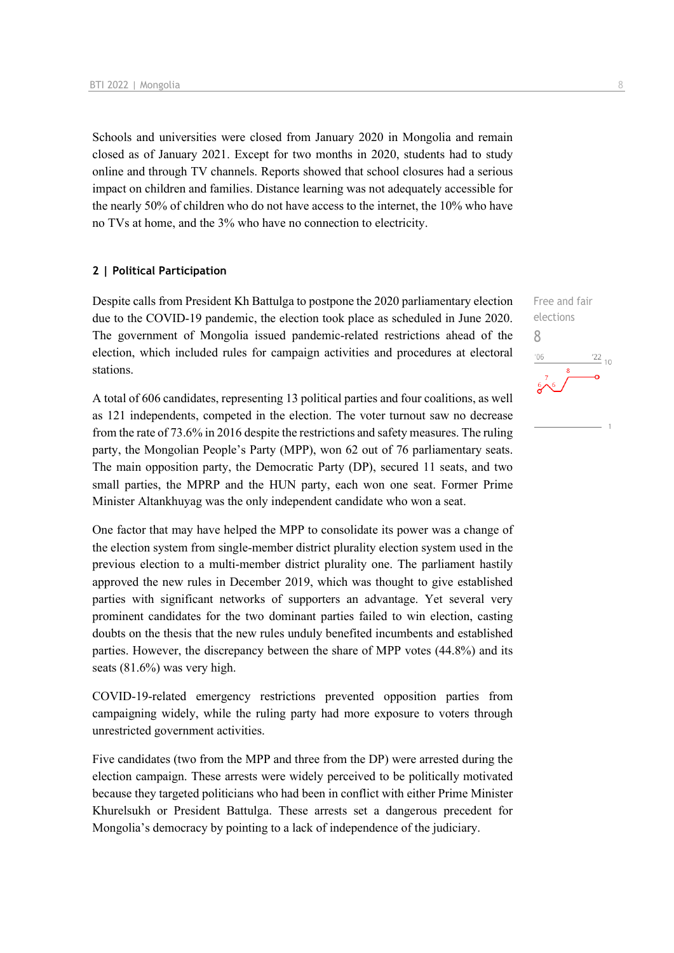Schools and universities were closed from January 2020 in Mongolia and remain closed as of January 2021. Except for two months in 2020, students had to study online and through TV channels. Reports showed that school closures had a serious impact on children and families. Distance learning was not adequately accessible for the nearly 50% of children who do not have access to the internet, the 10% who have no TVs at home, and the 3% who have no connection to electricity.

#### **2 | Political Participation**

Despite calls from President Kh Battulga to postpone the 2020 parliamentary election due to the COVID-19 pandemic, the election took place as scheduled in June 2020. The government of Mongolia issued pandemic-related restrictions ahead of the election, which included rules for campaign activities and procedures at electoral stations.

A total of 606 candidates, representing 13 political parties and four coalitions, as well as 121 independents, competed in the election. The voter turnout saw no decrease from the rate of 73.6% in 2016 despite the restrictions and safety measures. The ruling party, the Mongolian People's Party (MPP), won 62 out of 76 parliamentary seats. The main opposition party, the Democratic Party (DP), secured 11 seats, and two small parties, the MPRP and the HUN party, each won one seat. Former Prime Minister Altankhuyag was the only independent candidate who won a seat.

One factor that may have helped the MPP to consolidate its power was a change of the election system from single-member district plurality election system used in the previous election to a multi-member district plurality one. The parliament hastily approved the new rules in December 2019, which was thought to give established parties with significant networks of supporters an advantage. Yet several very prominent candidates for the two dominant parties failed to win election, casting doubts on the thesis that the new rules unduly benefited incumbents and established parties. However, the discrepancy between the share of MPP votes (44.8%) and its seats (81.6%) was very high.

COVID-19-related emergency restrictions prevented opposition parties from campaigning widely, while the ruling party had more exposure to voters through unrestricted government activities.

Five candidates (two from the MPP and three from the DP) were arrested during the election campaign. These arrests were widely perceived to be politically motivated because they targeted politicians who had been in conflict with either Prime Minister Khurelsukh or President Battulga. These arrests set a dangerous precedent for Mongolia's democracy by pointing to a lack of independence of the judiciary.

Free and fair elections 8 $\frac{22}{10}$  $106$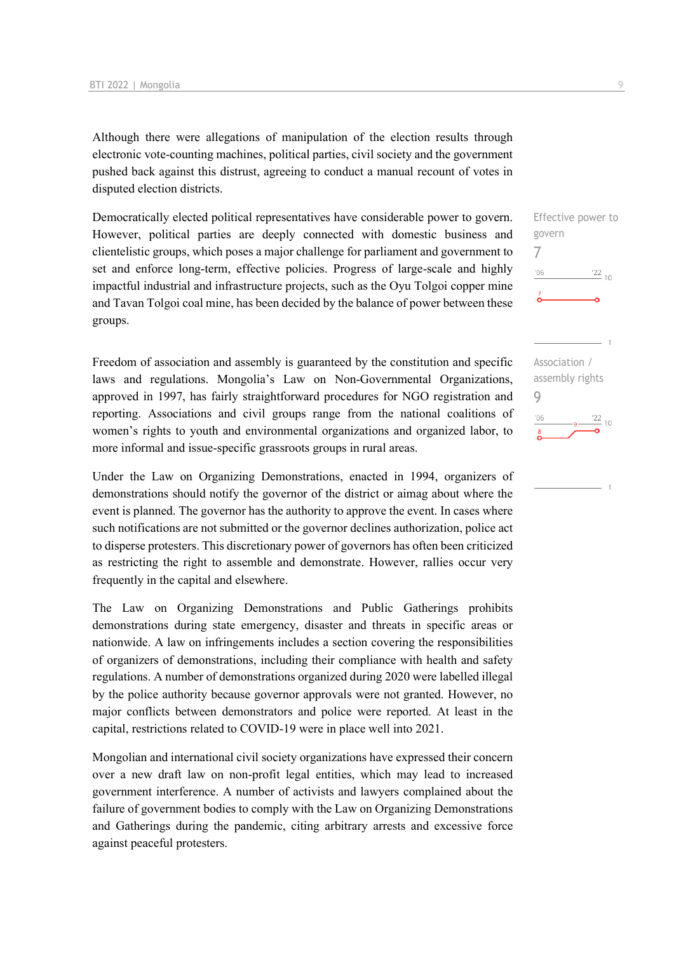Although there were allegations of manipulation of the election results through electronic vote-counting machines, political parties, civil society and the government pushed back against this distrust, agreeing to conduct a manual recount of votes in disputed election districts.

Democratically elected political representatives have considerable power to govern. However, political parties are deeply connected with domestic business and clientelistic groups, which poses a major challenge for parliament and government to set and enforce long-term, effective policies. Progress of large-scale and highly impactful industrial and infrastructure projects, such as the Oyu Tolgoi copper mine and Tavan Tolgoi coal mine, has been decided by the balance of power between these groups.

Freedom of association and assembly is guaranteed by the constitution and specific laws and regulations. Mongolia's Law on Non-Governmental Organizations, approved in 1997, has fairly straightforward procedures for NGO registration and reporting. Associations and civil groups range from the national coalitions of women's rights to youth and environmental organizations and organized labor, to more informal and issue-specific grassroots groups in rural areas.

Under the Law on Organizing Demonstrations, enacted in 1994, organizers of demonstrations should notify the governor of the district or aimag about where the event is planned. The governor has the authority to approve the event. In cases where such notifications are not submitted or the governor declines authorization, police act to disperse protesters. This discretionary power of governors has often been criticized as restricting the right to assemble and demonstrate. However, rallies occur very frequently in the capital and elsewhere.

The Law on Organizing Demonstrations and Public Gatherings prohibits demonstrations during state emergency, disaster and threats in specific areas or nationwide. A law on infringements includes a section covering the responsibilities of organizers of demonstrations, including their compliance with health and safety regulations. A number of demonstrations organized during 2020 were labelled illegal by the police authority because governor approvals were not granted. However, no major conflicts between demonstrators and police were reported. At least in the capital, restrictions related to COVID-19 were in place well into 2021.

Mongolian and international civil society organizations have expressed their concern over a new draft law on non-profit legal entities, which may lead to increased government interference. A number of activists and lawyers complained about the failure of government bodies to comply with the Law on Organizing Demonstrations and Gatherings during the pandemic, citing arbitrary arrests and excessive force against peaceful protesters.

Effective power to govern 7  $106$  $\frac{22}{10}$ Association / assembly rights

### 9 $\frac{22}{10}$  $-06$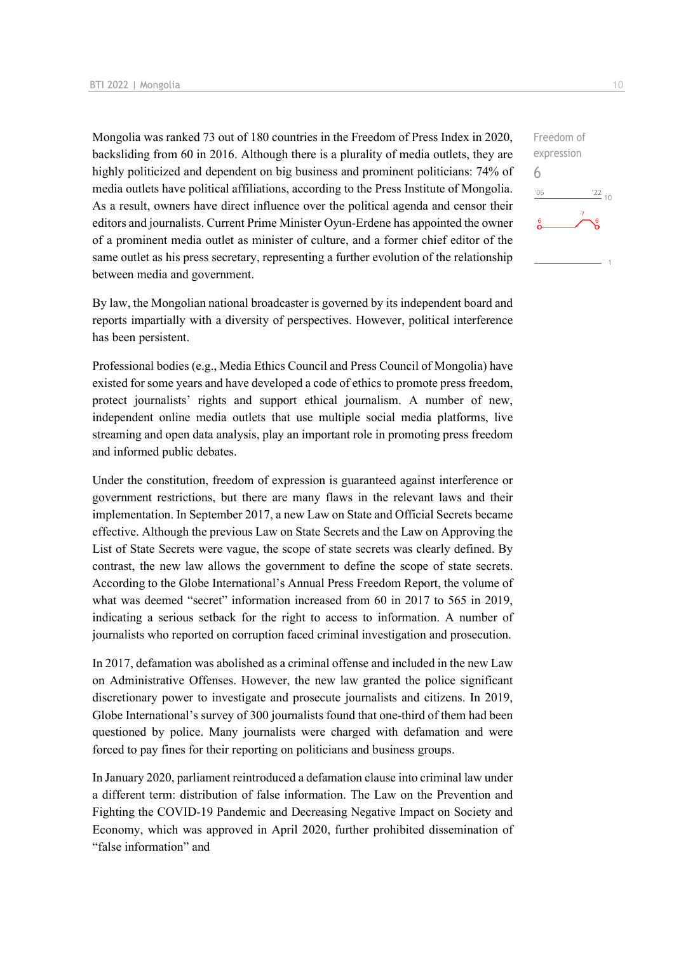Mongolia was ranked 73 out of 180 countries in the Freedom of Press Index in 2020, backsliding from 60 in 2016. Although there is a plurality of media outlets, they are highly politicized and dependent on big business and prominent politicians: 74% of media outlets have political affiliations, according to the Press Institute of Mongolia. As a result, owners have direct influence over the political agenda and censor their editors and journalists. Current Prime Minister Oyun-Erdene has appointed the owner of a prominent media outlet as minister of culture, and a former chief editor of the same outlet as his press secretary, representing a further evolution of the relationship between media and government.

By law, the Mongolian national broadcaster is governed by its independent board and reports impartially with a diversity of perspectives. However, political interference has been persistent.

Professional bodies (e.g., Media Ethics Council and Press Council of Mongolia) have existed for some years and have developed a code of ethics to promote press freedom, protect journalists' rights and support ethical journalism. A number of new, independent online media outlets that use multiple social media platforms, live streaming and open data analysis, play an important role in promoting press freedom and informed public debates.

Under the constitution, freedom of expression is guaranteed against interference or government restrictions, but there are many flaws in the relevant laws and their implementation. In September 2017, a new Law on State and Official Secrets became effective. Although the previous Law on State Secrets and the Law on Approving the List of State Secrets were vague, the scope of state secrets was clearly defined. By contrast, the new law allows the government to define the scope of state secrets. According to the Globe International's Annual Press Freedom Report, the volume of what was deemed "secret" information increased from 60 in 2017 to 565 in 2019, indicating a serious setback for the right to access to information. A number of journalists who reported on corruption faced criminal investigation and prosecution.

In 2017, defamation was abolished as a criminal offense and included in the new Law on Administrative Offenses. However, the new law granted the police significant discretionary power to investigate and prosecute journalists and citizens. In 2019, Globe International's survey of 300 journalists found that one-third of them had been questioned by police. Many journalists were charged with defamation and were forced to pay fines for their reporting on politicians and business groups.

In January 2020, parliament reintroduced a defamation clause into criminal law under a different term: distribution of false information. The Law on the Prevention and Fighting the COVID-19 Pandemic and Decreasing Negative Impact on Society and Economy, which was approved in April 2020, further prohibited dissemination of "false information" and

 $\frac{22}{10}$ 

Freedom of expression

6 $-06$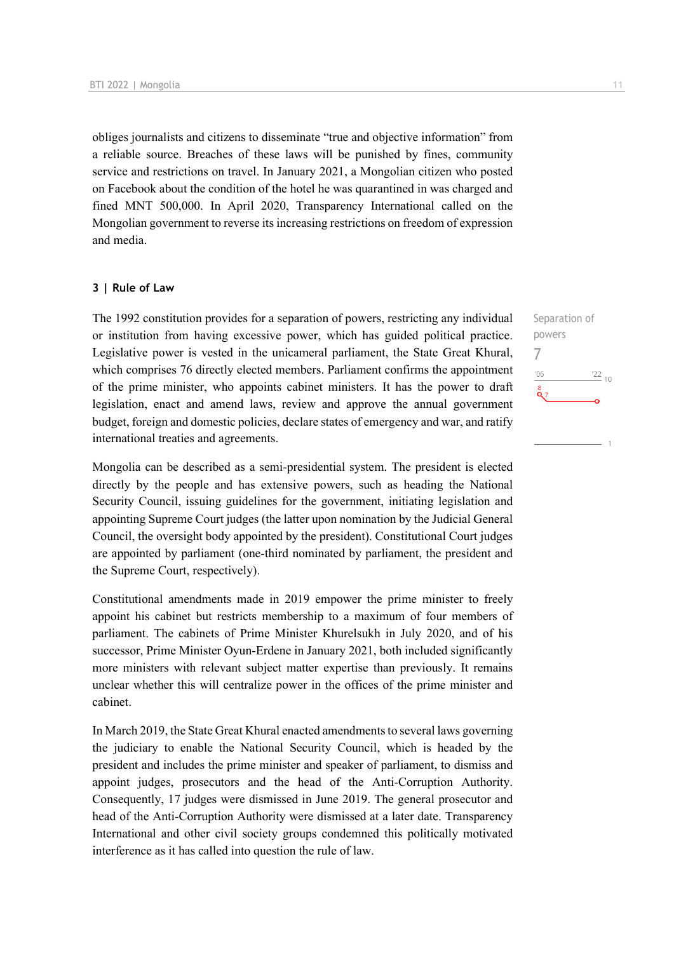obliges journalists and citizens to disseminate "true and objective information" from a reliable source. Breaches of these laws will be punished by fines, community service and restrictions on travel. In January 2021, a Mongolian citizen who posted on Facebook about the condition of the hotel he was quarantined in was charged and fined MNT 500,000. In April 2020, Transparency International called on the Mongolian government to reverse its increasing restrictions on freedom of expression and media.

#### **3 | Rule of Law**

The 1992 constitution provides for a separation of powers, restricting any individual or institution from having excessive power, which has guided political practice. Legislative power is vested in the unicameral parliament, the State Great Khural, which comprises 76 directly elected members. Parliament confirms the appointment of the prime minister, who appoints cabinet ministers. It has the power to draft legislation, enact and amend laws, review and approve the annual government budget, foreign and domestic policies, declare states of emergency and war, and ratify international treaties and agreements.

Mongolia can be described as a semi-presidential system. The president is elected directly by the people and has extensive powers, such as heading the National Security Council, issuing guidelines for the government, initiating legislation and appointing Supreme Court judges (the latter upon nomination by the Judicial General Council, the oversight body appointed by the president). Constitutional Court judges are appointed by parliament (one-third nominated by parliament, the president and the Supreme Court, respectively).

Constitutional amendments made in 2019 empower the prime minister to freely appoint his cabinet but restricts membership to a maximum of four members of parliament. The cabinets of Prime Minister Khurelsukh in July 2020, and of his successor, Prime Minister Oyun-Erdene in January 2021, both included significantly more ministers with relevant subject matter expertise than previously. It remains unclear whether this will centralize power in the offices of the prime minister and cabinet.

In March 2019, the State Great Khural enacted amendments to several laws governing the judiciary to enable the National Security Council, which is headed by the president and includes the prime minister and speaker of parliament, to dismiss and appoint judges, prosecutors and the head of the Anti-Corruption Authority. Consequently, 17 judges were dismissed in June 2019. The general prosecutor and head of the Anti-Corruption Authority were dismissed at a later date. Transparency International and other civil society groups condemned this politically motivated interference as it has called into question the rule of law.

Separation of powers 7 $\frac{22}{10}$  $06'$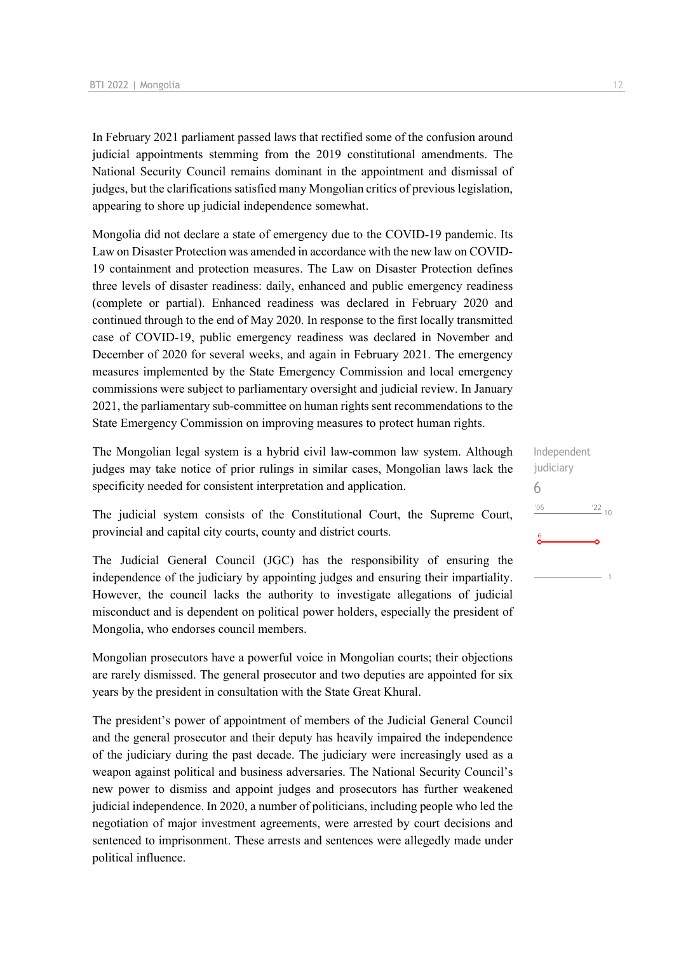In February 2021 parliament passed laws that rectified some of the confusion around judicial appointments stemming from the 2019 constitutional amendments. The National Security Council remains dominant in the appointment and dismissal of judges, but the clarifications satisfied many Mongolian critics of previous legislation, appearing to shore up judicial independence somewhat.

Mongolia did not declare a state of emergency due to the COVID-19 pandemic. Its Law on Disaster Protection was amended in accordance with the new law on COVID-19 containment and protection measures. The Law on Disaster Protection defines three levels of disaster readiness: daily, enhanced and public emergency readiness (complete or partial). Enhanced readiness was declared in February 2020 and continued through to the end of May 2020. In response to the first locally transmitted case of COVID-19, public emergency readiness was declared in November and December of 2020 for several weeks, and again in February 2021. The emergency measures implemented by the State Emergency Commission and local emergency commissions were subject to parliamentary oversight and judicial review. In January 2021, the parliamentary sub-committee on human rights sent recommendations to the State Emergency Commission on improving measures to protect human rights.

The Mongolian legal system is a hybrid civil law-common law system. Although judges may take notice of prior rulings in similar cases, Mongolian laws lack the specificity needed for consistent interpretation and application.

The judicial system consists of the Constitutional Court, the Supreme Court, provincial and capital city courts, county and district courts.

The Judicial General Council (JGC) has the responsibility of ensuring the independence of the judiciary by appointing judges and ensuring their impartiality. However, the council lacks the authority to investigate allegations of judicial misconduct and is dependent on political power holders, especially the president of Mongolia, who endorses council members.

Mongolian prosecutors have a powerful voice in Mongolian courts; their objections are rarely dismissed. The general prosecutor and two deputies are appointed for six years by the president in consultation with the State Great Khural.

The president's power of appointment of members of the Judicial General Council and the general prosecutor and their deputy has heavily impaired the independence of the judiciary during the past decade. The judiciary were increasingly used as a weapon against political and business adversaries. The National Security Council's new power to dismiss and appoint judges and prosecutors has further weakened judicial independence. In 2020, a number of politicians, including people who led the negotiation of major investment agreements, were arrested by court decisions and sentenced to imprisonment. These arrests and sentences were allegedly made under political influence.

Independent judiciary 6 $^{\prime}06$  $^{22}$  10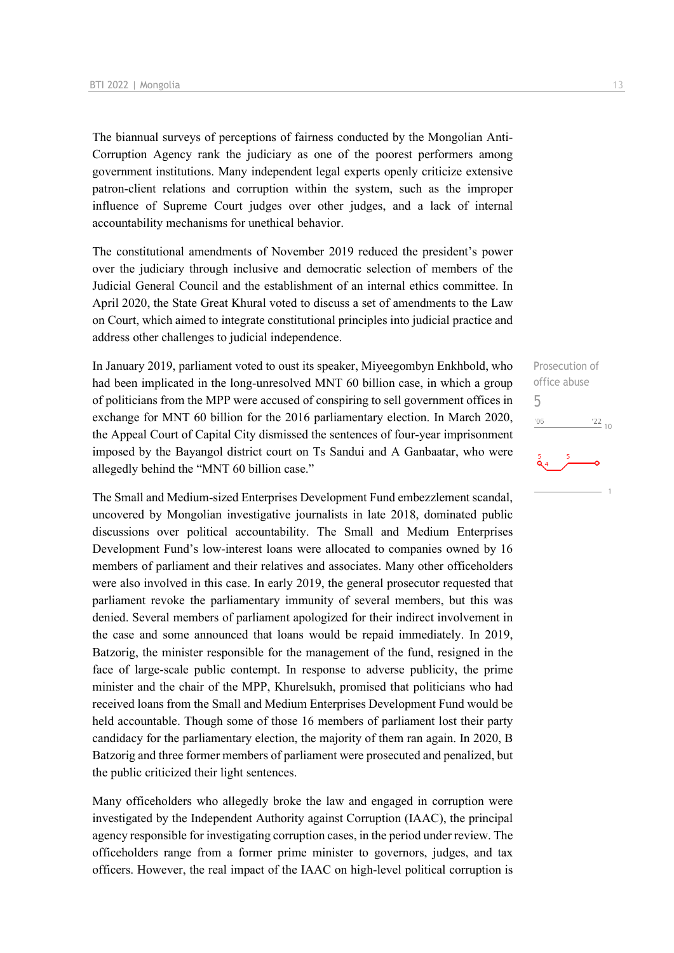The biannual surveys of perceptions of fairness conducted by the Mongolian Anti-Corruption Agency rank the judiciary as one of the poorest performers among government institutions. Many independent legal experts openly criticize extensive patron-client relations and corruption within the system, such as the improper influence of Supreme Court judges over other judges, and a lack of internal accountability mechanisms for unethical behavior.

The constitutional amendments of November 2019 reduced the president's power over the judiciary through inclusive and democratic selection of members of the Judicial General Council and the establishment of an internal ethics committee. In April 2020, the State Great Khural voted to discuss a set of amendments to the Law on Court, which aimed to integrate constitutional principles into judicial practice and address other challenges to judicial independence.

In January 2019, parliament voted to oust its speaker, Miyeegombyn Enkhbold, who had been implicated in the long-unresolved MNT 60 billion case, in which a group of politicians from the MPP were accused of conspiring to sell government offices in exchange for MNT 60 billion for the 2016 parliamentary election. In March 2020, the Appeal Court of Capital City dismissed the sentences of four-year imprisonment imposed by the Bayangol district court on Ts Sandui and A Ganbaatar, who were allegedly behind the "MNT 60 billion case."

The Small and Medium-sized Enterprises Development Fund embezzlement scandal, uncovered by Mongolian investigative journalists in late 2018, dominated public discussions over political accountability. The Small and Medium Enterprises Development Fund's low-interest loans were allocated to companies owned by 16 members of parliament and their relatives and associates. Many other officeholders were also involved in this case. In early 2019, the general prosecutor requested that parliament revoke the parliamentary immunity of several members, but this was denied. Several members of parliament apologized for their indirect involvement in the case and some announced that loans would be repaid immediately. In 2019, Batzorig, the minister responsible for the management of the fund, resigned in the face of large-scale public contempt. In response to adverse publicity, the prime minister and the chair of the MPP, Khurelsukh, promised that politicians who had received loans from the Small and Medium Enterprises Development Fund would be held accountable. Though some of those 16 members of parliament lost their party candidacy for the parliamentary election, the majority of them ran again. In 2020, B Batzorig and three former members of parliament were prosecuted and penalized, but the public criticized their light sentences.

Many officeholders who allegedly broke the law and engaged in corruption were investigated by the Independent Authority against Corruption (IAAC), the principal agency responsible for investigating corruption cases, in the period under review. The officeholders range from a former prime minister to governors, judges, and tax officers. However, the real impact of the IAAC on high-level political corruption is

Prosecution of office abuse 5 $'06$  $\frac{22}{10}$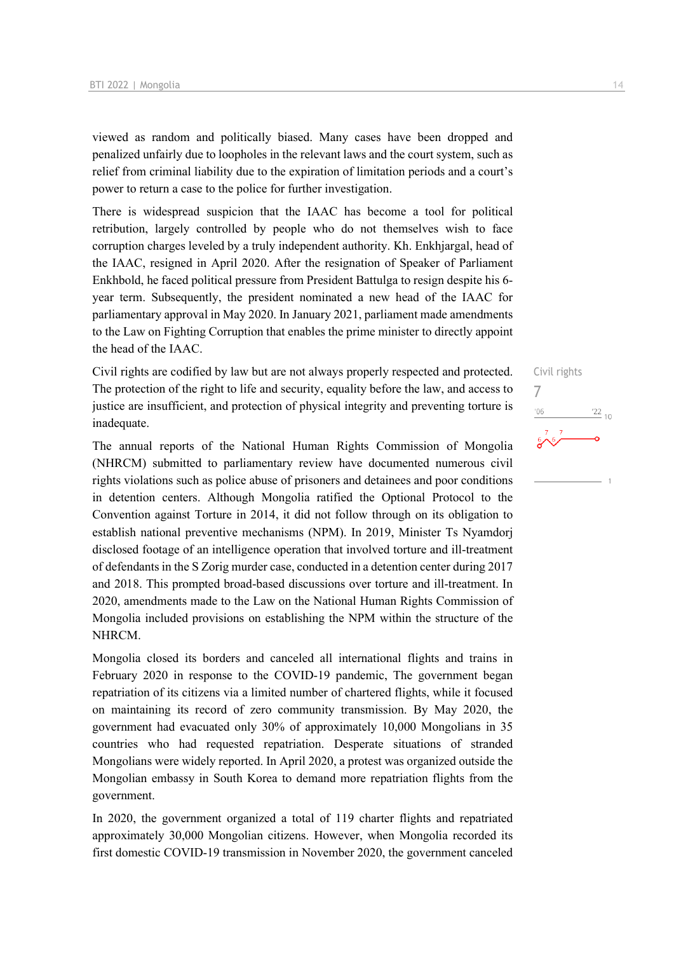viewed as random and politically biased. Many cases have been dropped and penalized unfairly due to loopholes in the relevant laws and the court system, such as relief from criminal liability due to the expiration of limitation periods and a court's power to return a case to the police for further investigation.

There is widespread suspicion that the IAAC has become a tool for political retribution, largely controlled by people who do not themselves wish to face corruption charges leveled by a truly independent authority. Kh. Enkhjargal, head of the IAAC, resigned in April 2020. After the resignation of Speaker of Parliament Enkhbold, he faced political pressure from President Battulga to resign despite his 6 year term. Subsequently, the president nominated a new head of the IAAC for parliamentary approval in May 2020. In January 2021, parliament made amendments to the Law on Fighting Corruption that enables the prime minister to directly appoint the head of the IAAC.

Civil rights are codified by law but are not always properly respected and protected. The protection of the right to life and security, equality before the law, and access to justice are insufficient, and protection of physical integrity and preventing torture is inadequate.

The annual reports of the National Human Rights Commission of Mongolia (NHRCM) submitted to parliamentary review have documented numerous civil rights violations such as police abuse of prisoners and detainees and poor conditions in detention centers. Although Mongolia ratified the Optional Protocol to the Convention against Torture in 2014, it did not follow through on its obligation to establish national preventive mechanisms (NPM). In 2019, Minister Ts Nyamdorj disclosed footage of an intelligence operation that involved torture and ill-treatment of defendants in the S Zorig murder case, conducted in a detention center during 2017 and 2018. This prompted broad-based discussions over torture and ill-treatment. In 2020, amendments made to the Law on the National Human Rights Commission of Mongolia included provisions on establishing the NPM within the structure of the NHRCM.

Mongolia closed its borders and canceled all international flights and trains in February 2020 in response to the COVID-19 pandemic, The government began repatriation of its citizens via a limited number of chartered flights, while it focused on maintaining its record of zero community transmission. By May 2020, the government had evacuated only 30% of approximately 10,000 Mongolians in 35 countries who had requested repatriation. Desperate situations of stranded Mongolians were widely reported. In April 2020, a protest was organized outside the Mongolian embassy in South Korea to demand more repatriation flights from the government.

In 2020, the government organized a total of 119 charter flights and repatriated approximately 30,000 Mongolian citizens. However, when Mongolia recorded its first domestic COVID-19 transmission in November 2020, the government canceled

## Civil rights 7 $\frac{1}{22}$  10 '06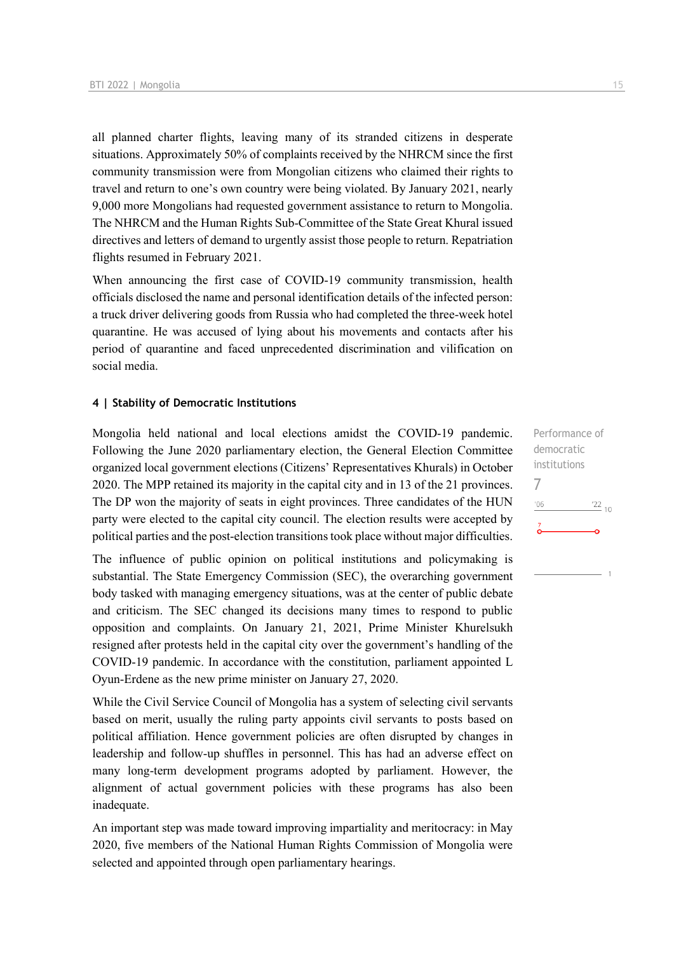all planned charter flights, leaving many of its stranded citizens in desperate situations. Approximately 50% of complaints received by the NHRCM since the first community transmission were from Mongolian citizens who claimed their rights to travel and return to one's own country were being violated. By January 2021, nearly 9,000 more Mongolians had requested government assistance to return to Mongolia. The NHRCM and the Human Rights Sub-Committee of the State Great Khural issued directives and letters of demand to urgently assist those people to return. Repatriation flights resumed in February 2021.

When announcing the first case of COVID-19 community transmission, health officials disclosed the name and personal identification details of the infected person: a truck driver delivering goods from Russia who had completed the three-week hotel quarantine. He was accused of lying about his movements and contacts after his period of quarantine and faced unprecedented discrimination and vilification on social media.

#### **4 | Stability of Democratic Institutions**

Mongolia held national and local elections amidst the COVID-19 pandemic. Following the June 2020 parliamentary election, the General Election Committee organized local government elections (Citizens' Representatives Khurals) in October 2020. The MPP retained its majority in the capital city and in 13 of the 21 provinces. The DP won the majority of seats in eight provinces. Three candidates of the HUN party were elected to the capital city council. The election results were accepted by political parties and the post-election transitions took place without major difficulties.

The influence of public opinion on political institutions and policymaking is substantial. The State Emergency Commission (SEC), the overarching government body tasked with managing emergency situations, was at the center of public debate and criticism. The SEC changed its decisions many times to respond to public opposition and complaints. On January 21, 2021, Prime Minister Khurelsukh resigned after protests held in the capital city over the government's handling of the COVID-19 pandemic. In accordance with the constitution, parliament appointed L Oyun-Erdene as the new prime minister on January 27, 2020.

While the Civil Service Council of Mongolia has a system of selecting civil servants based on merit, usually the ruling party appoints civil servants to posts based on political affiliation. Hence government policies are often disrupted by changes in leadership and follow-up shuffles in personnel. This has had an adverse effect on many long-term development programs adopted by parliament. However, the alignment of actual government policies with these programs has also been inadequate.

An important step was made toward improving impartiality and meritocracy: in May 2020, five members of the National Human Rights Commission of Mongolia were selected and appointed through open parliamentary hearings.

Performance of democratic institutions 7 $'06$  $\frac{22}{10}$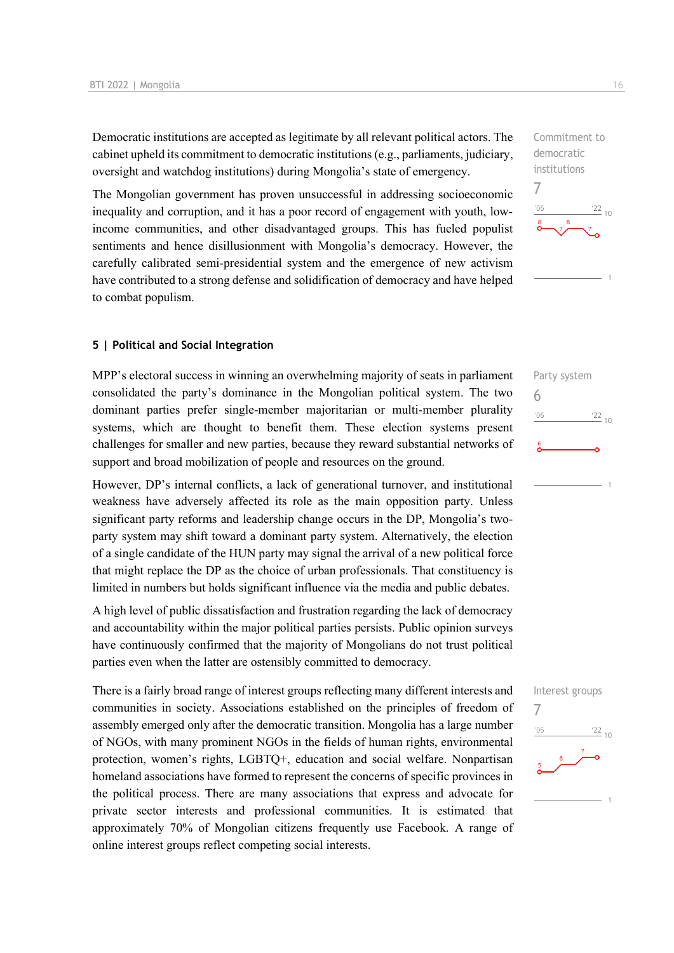Democratic institutions are accepted as legitimate by all relevant political actors. The cabinet upheld its commitment to democratic institutions (e.g., parliaments, judiciary, oversight and watchdog institutions) during Mongolia's state of emergency.

The Mongolian government has proven unsuccessful in addressing socioeconomic inequality and corruption, and it has a poor record of engagement with youth, lowincome communities, and other disadvantaged groups. This has fueled populist sentiments and hence disillusionment with Mongolia's democracy. However, the carefully calibrated semi-presidential system and the emergence of new activism have contributed to a strong defense and solidification of democracy and have helped to combat populism.

#### **5 | Political and Social Integration**

MPP's electoral success in winning an overwhelming majority of seats in parliament consolidated the party's dominance in the Mongolian political system. The two dominant parties prefer single-member majoritarian or multi-member plurality systems, which are thought to benefit them. These election systems present challenges for smaller and new parties, because they reward substantial networks of support and broad mobilization of people and resources on the ground.

However, DP's internal conflicts, a lack of generational turnover, and institutional weakness have adversely affected its role as the main opposition party. Unless significant party reforms and leadership change occurs in the DP, Mongolia's twoparty system may shift toward a dominant party system. Alternatively, the election of a single candidate of the HUN party may signal the arrival of a new political force that might replace the DP as the choice of urban professionals. That constituency is limited in numbers but holds significant influence via the media and public debates.

A high level of public dissatisfaction and frustration regarding the lack of democracy and accountability within the major political parties persists. Public opinion surveys have continuously confirmed that the majority of Mongolians do not trust political parties even when the latter are ostensibly committed to democracy.

There is a fairly broad range of interest groups reflecting many different interests and communities in society. Associations established on the principles of freedom of assembly emerged only after the democratic transition. Mongolia has a large number of NGOs, with many prominent NGOs in the fields of human rights, environmental protection, women's rights, LGBTQ+, education and social welfare. Nonpartisan homeland associations have formed to represent the concerns of specific provinces in the political process. There are many associations that express and advocate for private sector interests and professional communities. It is estimated that approximately 70% of Mongolian citizens frequently use Facebook. A range of online interest groups reflect competing social interests.

Commitment to democratic institutions 7  $\frac{22}{10}$  $^{\prime}06$ 

Party system 6  $'06$  $\frac{22}{10}$ 

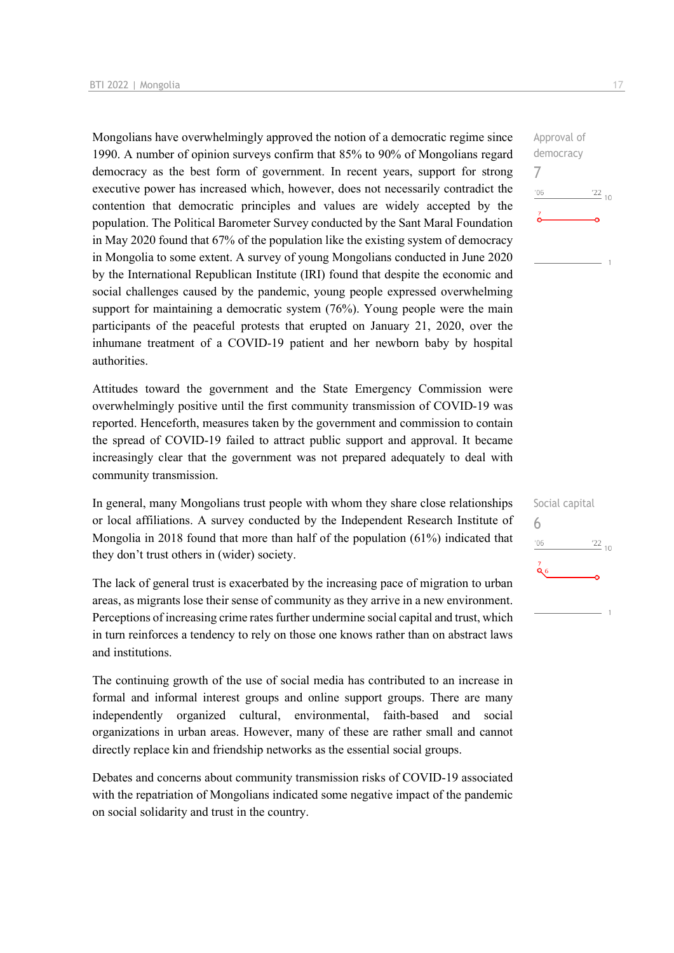Mongolians have overwhelmingly approved the notion of a democratic regime since 1990. A number of opinion surveys confirm that 85% to 90% of Mongolians regard democracy as the best form of government. In recent years, support for strong executive power has increased which, however, does not necessarily contradict the contention that democratic principles and values are widely accepted by the population. The Political Barometer Survey conducted by the Sant Maral Foundation in May 2020 found that 67% of the population like the existing system of democracy in Mongolia to some extent. A survey of young Mongolians conducted in June 2020 by the International Republican Institute (IRI) found that despite the economic and social challenges caused by the pandemic, young people expressed overwhelming support for maintaining a democratic system (76%). Young people were the main participants of the peaceful protests that erupted on January 21, 2020, over the inhumane treatment of a COVID-19 patient and her newborn baby by hospital authorities.

Attitudes toward the government and the State Emergency Commission were overwhelmingly positive until the first community transmission of COVID-19 was reported. Henceforth, measures taken by the government and commission to contain the spread of COVID-19 failed to attract public support and approval. It became increasingly clear that the government was not prepared adequately to deal with community transmission.

In general, many Mongolians trust people with whom they share close relationships or local affiliations. A survey conducted by the Independent Research Institute of Mongolia in 2018 found that more than half of the population (61%) indicated that they don't trust others in (wider) society.

The lack of general trust is exacerbated by the increasing pace of migration to urban areas, as migrants lose their sense of community as they arrive in a new environment. Perceptions of increasing crime rates further undermine social capital and trust, which in turn reinforces a tendency to rely on those one knows rather than on abstract laws and institutions.

The continuing growth of the use of social media has contributed to an increase in formal and informal interest groups and online support groups. There are many independently organized cultural, environmental, faith-based and social organizations in urban areas. However, many of these are rather small and cannot directly replace kin and friendship networks as the essential social groups.

Debates and concerns about community transmission risks of COVID-19 associated with the repatriation of Mongolians indicated some negative impact of the pandemic on social solidarity and trust in the country.

| Social capital<br>6 |                 |
|---------------------|-----------------|
| '06                 | $\frac{22}{10}$ |
| $\frac{7}{96}$      |                 |
|                     |                 |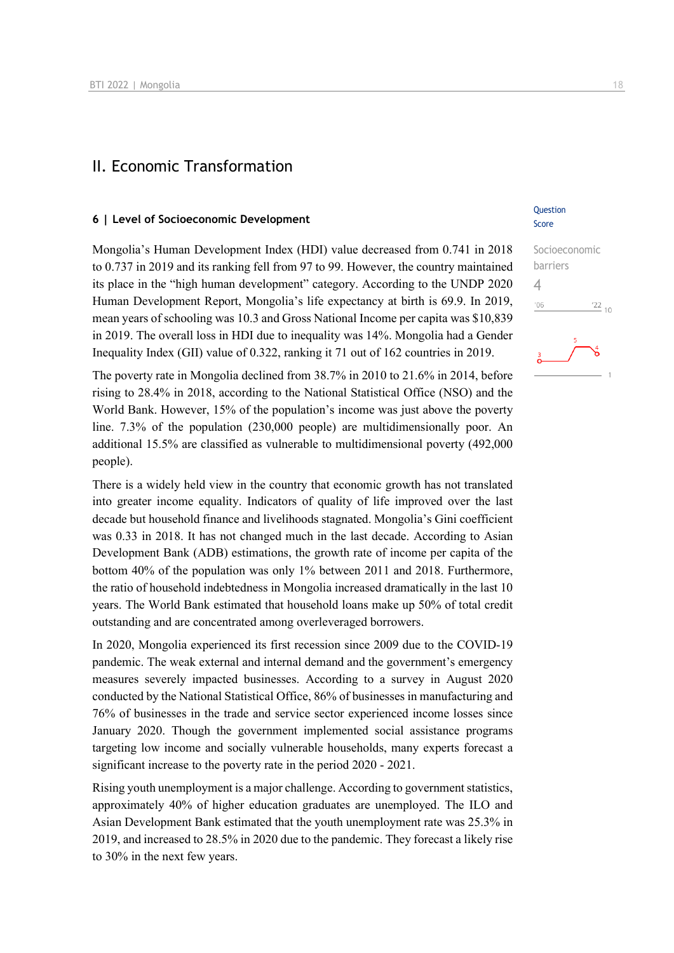### II. Economic Transformation

#### **6 | Level of Socioeconomic Development**

Mongolia's Human Development Index (HDI) value decreased from 0.741 in 2018 to 0.737 in 2019 and its ranking fell from 97 to 99. However, the country maintained its place in the "high human development" category. According to the UNDP 2020 Human Development Report, Mongolia's life expectancy at birth is 69.9. In 2019, mean years of schooling was 10.3 and Gross National Income per capita was \$10,839 in 2019. The overall loss in HDI due to inequality was 14%. Mongolia had a Gender Inequality Index (GII) value of 0.322, ranking it 71 out of 162 countries in 2019.

The poverty rate in Mongolia declined from 38.7% in 2010 to 21.6% in 2014, before rising to 28.4% in 2018, according to the National Statistical Office (NSO) and the World Bank. However, 15% of the population's income was just above the poverty line. 7.3% of the population (230,000 people) are multidimensionally poor. An additional 15.5% are classified as vulnerable to multidimensional poverty (492,000 people).

There is a widely held view in the country that economic growth has not translated into greater income equality. Indicators of quality of life improved over the last decade but household finance and livelihoods stagnated. Mongolia's Gini coefficient was 0.33 in 2018. It has not changed much in the last decade. According to Asian Development Bank (ADB) estimations, the growth rate of income per capita of the bottom 40% of the population was only 1% between 2011 and 2018. Furthermore, the ratio of household indebtedness in Mongolia increased dramatically in the last 10 years. The World Bank estimated that household loans make up 50% of total credit outstanding and are concentrated among overleveraged borrowers.

In 2020, Mongolia experienced its first recession since 2009 due to the COVID-19 pandemic. The weak external and internal demand and the government's emergency measures severely impacted businesses. According to a survey in August 2020 conducted by the National Statistical Office, 86% of businesses in manufacturing and 76% of businesses in the trade and service sector experienced income losses since January 2020. Though the government implemented social assistance programs targeting low income and socially vulnerable households, many experts forecast a significant increase to the poverty rate in the period 2020 - 2021.

Rising youth unemployment is a major challenge. According to government statistics, approximately 40% of higher education graduates are unemployed. The ILO and Asian Development Bank estimated that the youth unemployment rate was 25.3% in 2019, and increased to 28.5% in 2020 due to the pandemic. They forecast a likely rise to 30% in the next few years.

#### **Ouestion** Score

## Socioeconomic barriers 4 $^{\prime}06$  $\frac{22}{10}$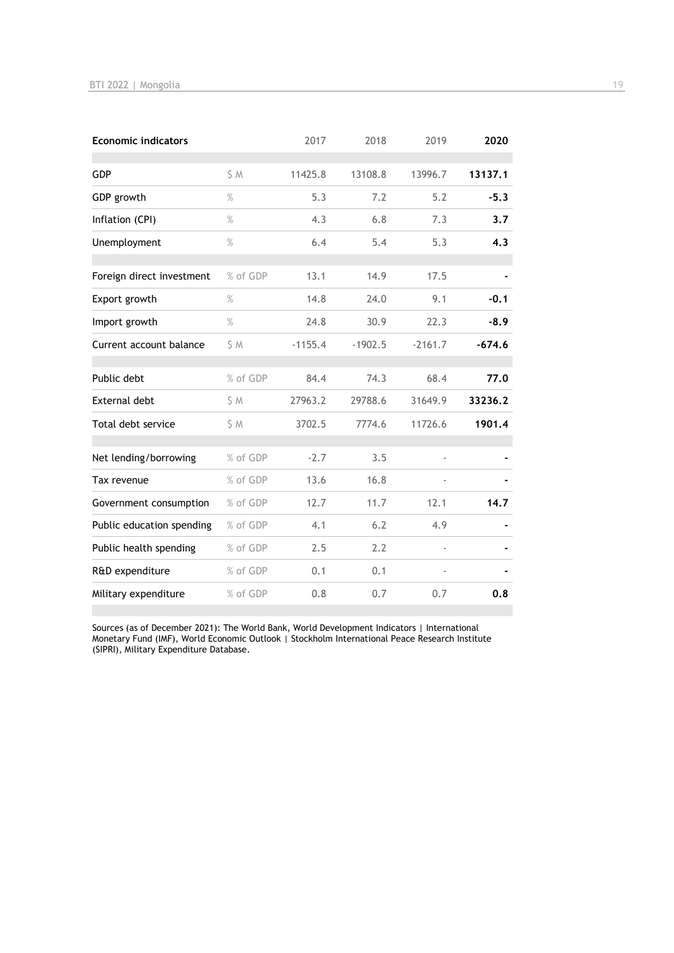| <b>Economic indicators</b> |          | 2017      | 2018      | 2019      | 2020     |
|----------------------------|----------|-----------|-----------|-----------|----------|
| <b>GDP</b>                 | S M      | 11425.8   | 13108.8   | 13996.7   | 13137.1  |
| GDP growth                 | $\%$     | 5.3       | 7.2       | 5.2       | $-5.3$   |
| Inflation (CPI)            | $\%$     | 4.3       | 6.8       | 7.3       | 3.7      |
| Unemployment               | $\%$     | 6.4       | 5.4       | 5.3       | 4.3      |
| Foreign direct investment  | % of GDP | 13.1      | 14.9      | 17.5      |          |
| Export growth              | $\%$     | 14.8      | 24.0      | 9.1       | $-0.1$   |
| Import growth              | $\%$     | 24.8      | 30.9      | 22.3      | $-8.9$   |
| Current account balance    | S M      | $-1155.4$ | $-1902.5$ | $-2161.7$ | $-674.6$ |
| Public debt                | % of GDP | 84.4      | 74.3      | 68.4      | 77.0     |
| <b>External debt</b>       | \$ M     | 27963.2   | 29788.6   | 31649.9   | 33236.2  |
| Total debt service         | S M      | 3702.5    | 7774.6    | 11726.6   | 1901.4   |
| Net lending/borrowing      | % of GDP | $-2.7$    | 3.5       |           |          |
| Tax revenue                | % of GDP | 13.6      | 16.8      |           |          |
| Government consumption     | % of GDP | 12.7      | 11.7      | 12.1      | 14.7     |
| Public education spending  | % of GDP | 4.1       | 6.2       | 4.9       |          |
| Public health spending     | % of GDP | 2.5       | 2.2       |           |          |
| R&D expenditure            | % of GDP | 0.1       | 0.1       |           |          |
| Military expenditure       | % of GDP | 0.8       | 0.7       | 0.7       | 0.8      |

Sources (as of December 2021): The World Bank, World Development Indicators | International Monetary Fund (IMF), World Economic Outlook | Stockholm International Peace Research Institute (SIPRI), Military Expenditure Database.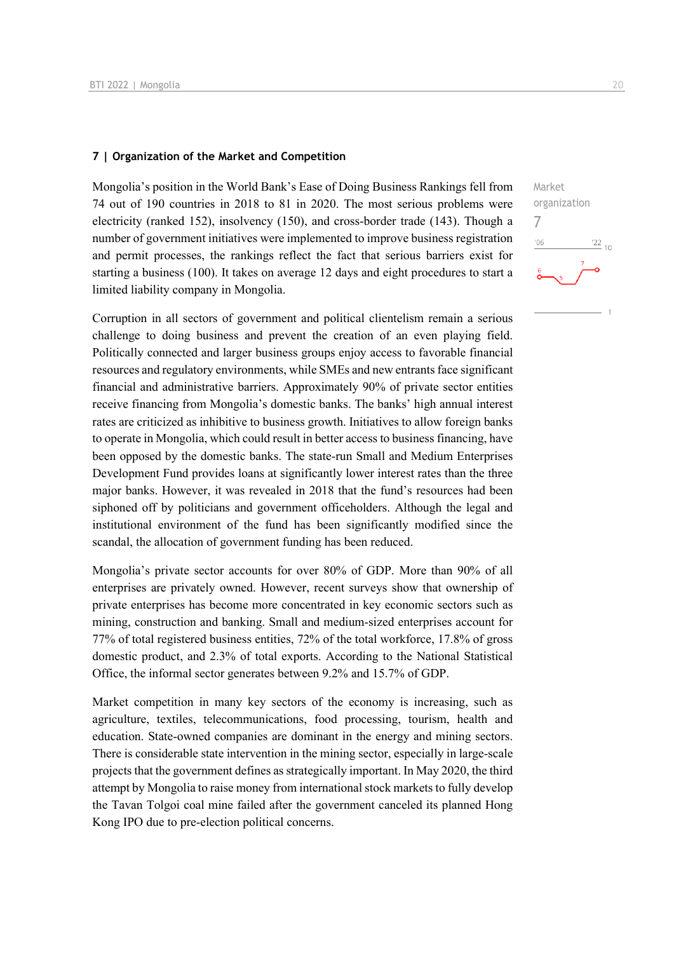#### **7 | Organization of the Market and Competition**

Mongolia's position in the World Bank's Ease of Doing Business Rankings fell from 74 out of 190 countries in 2018 to 81 in 2020. The most serious problems were electricity (ranked 152), insolvency (150), and cross-border trade (143). Though a number of government initiatives were implemented to improve business registration and permit processes, the rankings reflect the fact that serious barriers exist for starting a business (100). It takes on average 12 days and eight procedures to start a limited liability company in Mongolia.

Corruption in all sectors of government and political clientelism remain a serious challenge to doing business and prevent the creation of an even playing field. Politically connected and larger business groups enjoy access to favorable financial resources and regulatory environments, while SMEs and new entrants face significant financial and administrative barriers. Approximately 90% of private sector entities receive financing from Mongolia's domestic banks. The banks' high annual interest rates are criticized as inhibitive to business growth. Initiatives to allow foreign banks to operate in Mongolia, which could result in better access to business financing, have been opposed by the domestic banks. The state-run Small and Medium Enterprises Development Fund provides loans at significantly lower interest rates than the three major banks. However, it was revealed in 2018 that the fund's resources had been siphoned off by politicians and government officeholders. Although the legal and institutional environment of the fund has been significantly modified since the scandal, the allocation of government funding has been reduced.

Mongolia's private sector accounts for over 80% of GDP. More than 90% of all enterprises are privately owned. However, recent surveys show that ownership of private enterprises has become more concentrated in key economic sectors such as mining, construction and banking. Small and medium-sized enterprises account for 77% of total registered business entities, 72% of the total workforce, 17.8% of gross domestic product, and 2.3% of total exports. According to the National Statistical Office, the informal sector generates between 9.2% and 15.7% of GDP.

Market competition in many key sectors of the economy is increasing, such as agriculture, textiles, telecommunications, food processing, tourism, health and education. State-owned companies are dominant in the energy and mining sectors. There is considerable state intervention in the mining sector, especially in large-scale projects that the government defines as strategically important. In May 2020, the third attempt by Mongolia to raise money from international stock markets to fully develop the Tavan Tolgoi coal mine failed after the government canceled its planned Hong Kong IPO due to pre-election political concerns.

 $\frac{22}{10}$ 

Market organization

7 $-06$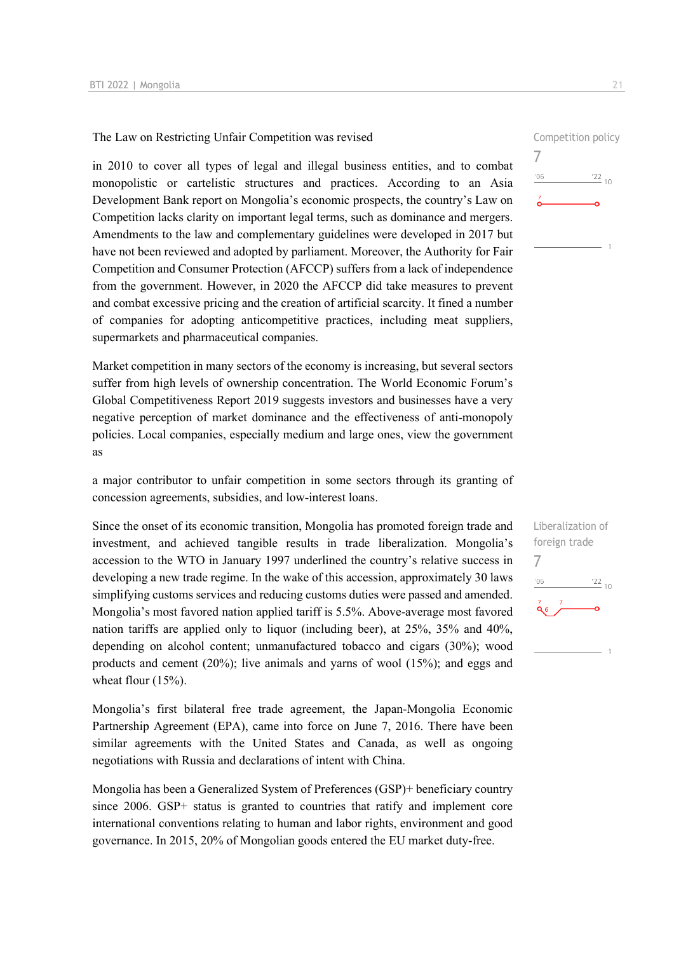The Law on Restricting Unfair Competition was revised

in 2010 to cover all types of legal and illegal business entities, and to combat monopolistic or cartelistic structures and practices. According to an Asia Development Bank report on Mongolia's economic prospects, the country's Law on Competition lacks clarity on important legal terms, such as dominance and mergers. Amendments to the law and complementary guidelines were developed in 2017 but have not been reviewed and adopted by parliament. Moreover, the Authority for Fair Competition and Consumer Protection (AFCCP) suffers from a lack of independence from the government. However, in 2020 the AFCCP did take measures to prevent and combat excessive pricing and the creation of artificial scarcity. It fined a number of companies for adopting anticompetitive practices, including meat suppliers, supermarkets and pharmaceutical companies.

Market competition in many sectors of the economy is increasing, but several sectors suffer from high levels of ownership concentration. The World Economic Forum's Global Competitiveness Report 2019 suggests investors and businesses have a very negative perception of market dominance and the effectiveness of anti-monopoly policies. Local companies, especially medium and large ones, view the government as

a major contributor to unfair competition in some sectors through its granting of concession agreements, subsidies, and low-interest loans.

Since the onset of its economic transition, Mongolia has promoted foreign trade and investment, and achieved tangible results in trade liberalization. Mongolia's accession to the WTO in January 1997 underlined the country's relative success in developing a new trade regime. In the wake of this accession, approximately 30 laws simplifying customs services and reducing customs duties were passed and amended. Mongolia's most favored nation applied tariff is 5.5%. Above-average most favored nation tariffs are applied only to liquor (including beer), at 25%, 35% and 40%, depending on alcohol content; unmanufactured tobacco and cigars (30%); wood products and cement (20%); live animals and yarns of wool (15%); and eggs and wheat flour (15%).

Mongolia's first bilateral free trade agreement, the Japan-Mongolia Economic Partnership Agreement (EPA), came into force on June 7, 2016. There have been similar agreements with the United States and Canada, as well as ongoing negotiations with Russia and declarations of intent with China.

Mongolia has been a Generalized System of Preferences (GSP)+ beneficiary country since 2006. GSP+ status is granted to countries that ratify and implement core international conventions relating to human and labor rights, environment and good governance. In 2015, 20% of Mongolian goods entered the EU market duty-free.

Competition policy 7  $\frac{22}{10}$ '06

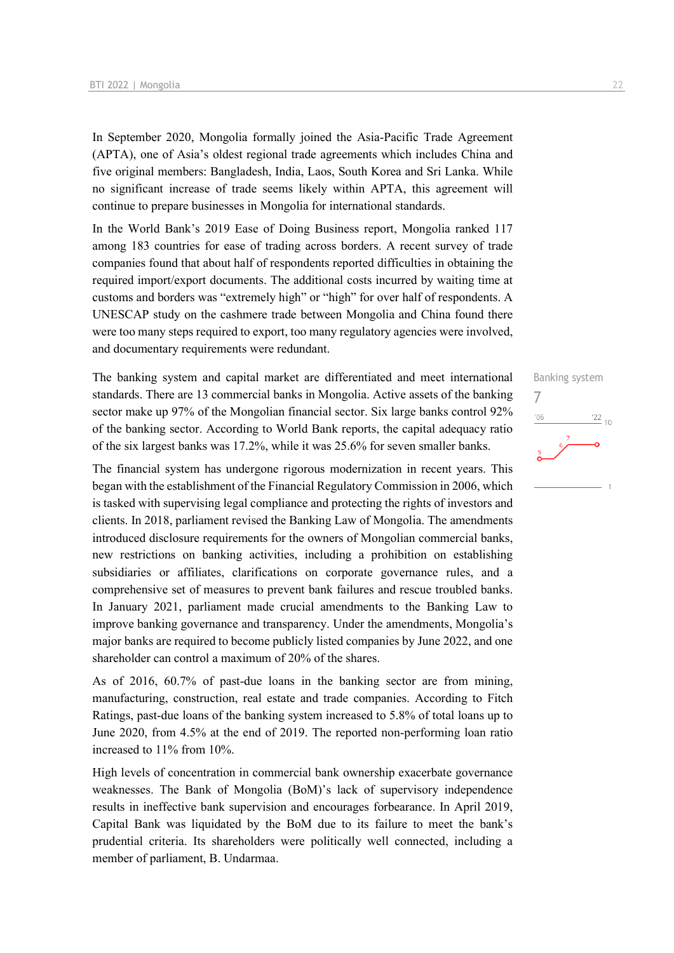In September 2020, Mongolia formally joined the Asia-Pacific Trade Agreement (APTA), one of Asia's oldest regional trade agreements which includes China and five original members: Bangladesh, India, Laos, South Korea and Sri Lanka. While no significant increase of trade seems likely within APTA, this agreement will continue to prepare businesses in Mongolia for international standards.

In the World Bank's 2019 Ease of Doing Business report, Mongolia ranked 117 among 183 countries for ease of trading across borders. A recent survey of trade companies found that about half of respondents reported difficulties in obtaining the required import/export documents. The additional costs incurred by waiting time at customs and borders was "extremely high" or "high" for over half of respondents. A UNESCAP study on the cashmere trade between Mongolia and China found there were too many steps required to export, too many regulatory agencies were involved, and documentary requirements were redundant.

The banking system and capital market are differentiated and meet international standards. There are 13 commercial banks in Mongolia. Active assets of the banking sector make up 97% of the Mongolian financial sector. Six large banks control 92% of the banking sector. According to World Bank reports, the capital adequacy ratio of the six largest banks was 17.2%, while it was 25.6% for seven smaller banks.

The financial system has undergone rigorous modernization in recent years. This began with the establishment of the Financial Regulatory Commission in 2006, which is tasked with supervising legal compliance and protecting the rights of investors and clients. In 2018, parliament revised the Banking Law of Mongolia. The amendments introduced disclosure requirements for the owners of Mongolian commercial banks, new restrictions on banking activities, including a prohibition on establishing subsidiaries or affiliates, clarifications on corporate governance rules, and a comprehensive set of measures to prevent bank failures and rescue troubled banks. In January 2021, parliament made crucial amendments to the Banking Law to improve banking governance and transparency. Under the amendments, Mongolia's major banks are required to become publicly listed companies by June 2022, and one shareholder can control a maximum of 20% of the shares.

As of 2016, 60.7% of past-due loans in the banking sector are from mining, manufacturing, construction, real estate and trade companies. According to Fitch Ratings, past-due loans of the banking system increased to 5.8% of total loans up to June 2020, from 4.5% at the end of 2019. The reported non-performing loan ratio increased to 11% from 10%.

High levels of concentration in commercial bank ownership exacerbate governance weaknesses. The Bank of Mongolia (BoM)'s lack of supervisory independence results in ineffective bank supervision and encourages forbearance. In April 2019, Capital Bank was liquidated by the BoM due to its failure to meet the bank's prudential criteria. Its shareholders were politically well connected, including a member of parliament, B. Undarmaa.

## Banking system 7 $06'$  $\frac{22}{10}$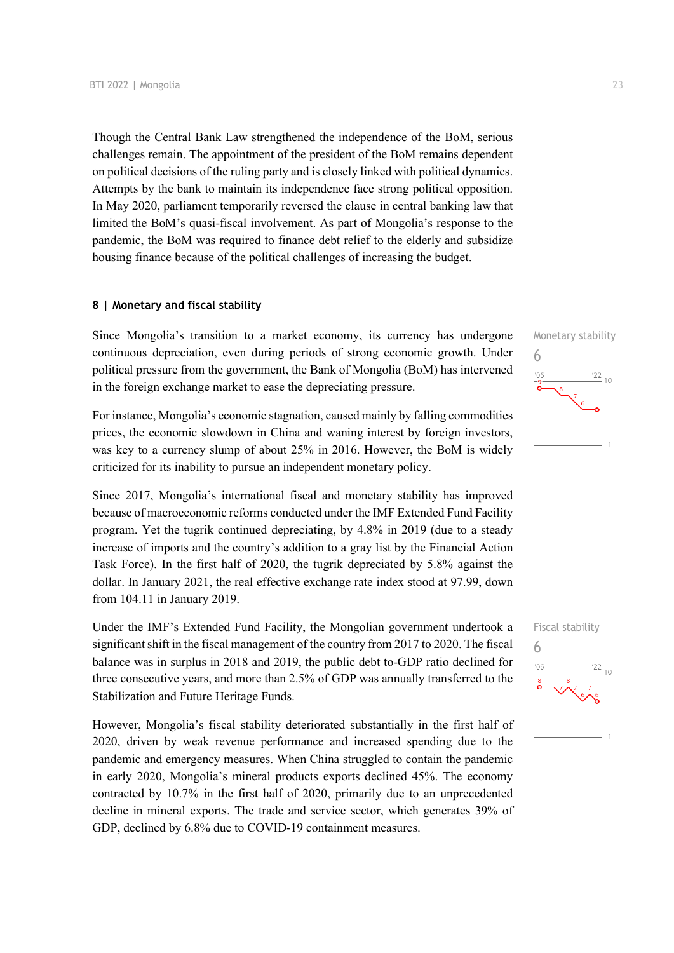Though the Central Bank Law strengthened the independence of the BoM, serious challenges remain. The appointment of the president of the BoM remains dependent on political decisions of the ruling party and is closely linked with political dynamics. Attempts by the bank to maintain its independence face strong political opposition. In May 2020, parliament temporarily reversed the clause in central banking law that limited the BoM's quasi-fiscal involvement. As part of Mongolia's response to the pandemic, the BoM was required to finance debt relief to the elderly and subsidize housing finance because of the political challenges of increasing the budget.

#### **8 | Monetary and fiscal stability**

Since Mongolia's transition to a market economy, its currency has undergone continuous depreciation, even during periods of strong economic growth. Under political pressure from the government, the Bank of Mongolia (BoM) has intervened in the foreign exchange market to ease the depreciating pressure.

For instance, Mongolia's economic stagnation, caused mainly by falling commodities prices, the economic slowdown in China and waning interest by foreign investors, was key to a currency slump of about 25% in 2016. However, the BoM is widely criticized for its inability to pursue an independent monetary policy.

Since 2017, Mongolia's international fiscal and monetary stability has improved because of macroeconomic reforms conducted under the IMF Extended Fund Facility program. Yet the tugrik continued depreciating, by 4.8% in 2019 (due to a steady increase of imports and the country's addition to a gray list by the Financial Action Task Force). In the first half of 2020, the tugrik depreciated by 5.8% against the dollar. In January 2021, the real effective exchange rate index stood at 97.99, down from 104.11 in January 2019.

Under the IMF's Extended Fund Facility, the Mongolian government undertook a significant shift in the fiscal management of the country from 2017 to 2020. The fiscal balance was in surplus in 2018 and 2019, the public debt to-GDP ratio declined for three consecutive years, and more than 2.5% of GDP was annually transferred to the Stabilization and Future Heritage Funds.

However, Mongolia's fiscal stability deteriorated substantially in the first half of 2020, driven by weak revenue performance and increased spending due to the pandemic and emergency measures. When China struggled to contain the pandemic in early 2020, Mongolia's mineral products exports declined 45%. The economy contracted by 10.7% in the first half of 2020, primarily due to an unprecedented decline in mineral exports. The trade and service sector, which generates 39% of GDP, declined by 6.8% due to COVID-19 containment measures.



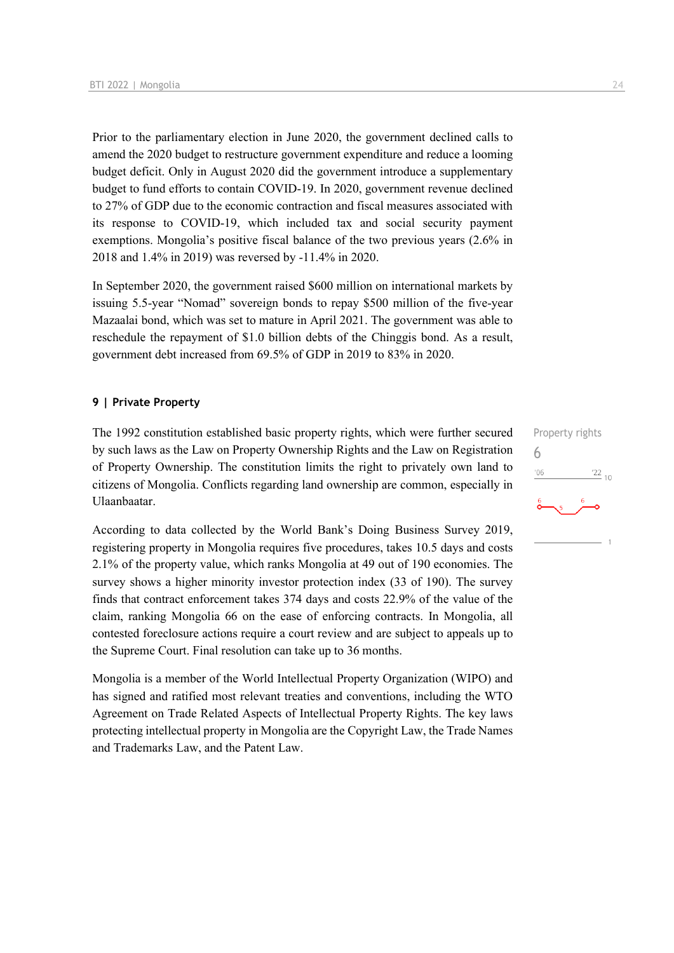Prior to the parliamentary election in June 2020, the government declined calls to amend the 2020 budget to restructure government expenditure and reduce a looming budget deficit. Only in August 2020 did the government introduce a supplementary budget to fund efforts to contain COVID-19. In 2020, government revenue declined to 27% of GDP due to the economic contraction and fiscal measures associated with its response to COVID-19, which included tax and social security payment exemptions. Mongolia's positive fiscal balance of the two previous years (2.6% in 2018 and 1.4% in 2019) was reversed by -11.4% in 2020.

In September 2020, the government raised \$600 million on international markets by issuing 5.5-year "Nomad" sovereign bonds to repay \$500 million of the five-year Mazaalai bond, which was set to mature in April 2021. The government was able to reschedule the repayment of \$1.0 billion debts of the Chinggis bond. As a result, government debt increased from 69.5% of GDP in 2019 to 83% in 2020.

#### **9 | Private Property**

The 1992 constitution established basic property rights, which were further secured by such laws as the Law on Property Ownership Rights and the Law on Registration of Property Ownership. The constitution limits the right to privately own land to citizens of Mongolia. Conflicts regarding land ownership are common, especially in Ulaanbaatar.

According to data collected by the World Bank's Doing Business Survey 2019, registering property in Mongolia requires five procedures, takes 10.5 days and costs 2.1% of the property value, which ranks Mongolia at 49 out of 190 economies. The survey shows a higher minority investor protection index (33 of 190). The survey finds that contract enforcement takes 374 days and costs 22.9% of the value of the claim, ranking Mongolia 66 on the ease of enforcing contracts. In Mongolia, all contested foreclosure actions require a court review and are subject to appeals up to the Supreme Court. Final resolution can take up to 36 months.

Mongolia is a member of the World Intellectual Property Organization (WIPO) and has signed and ratified most relevant treaties and conventions, including the WTO Agreement on Trade Related Aspects of Intellectual Property Rights. The key laws protecting intellectual property in Mongolia are the Copyright Law, the Trade Names and Trademarks Law, and the Patent Law.

## Property rights 6 $\frac{22}{10}$  $106$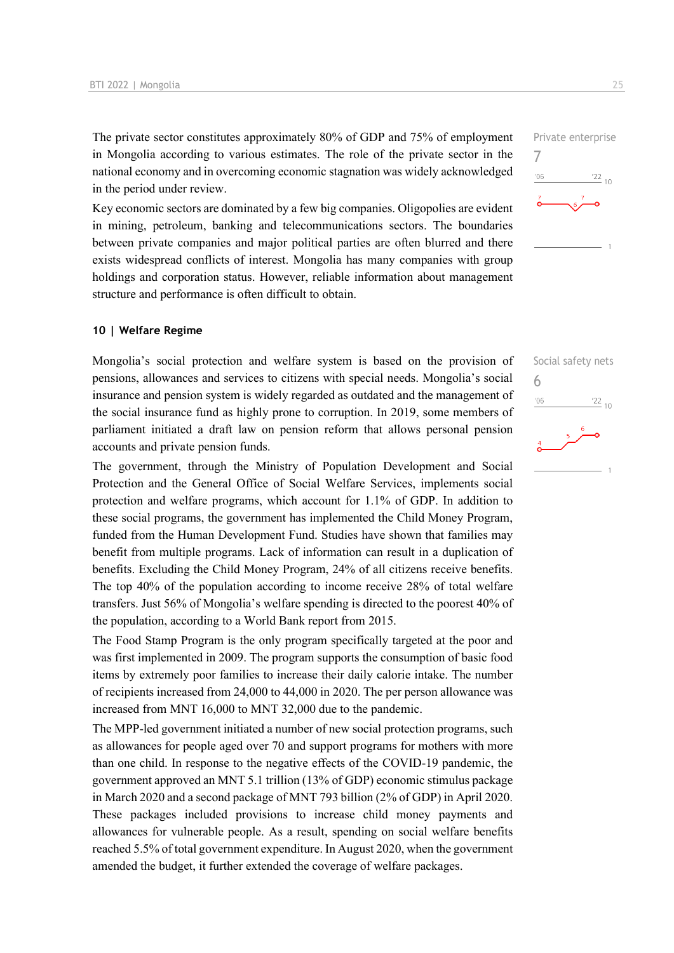The private sector constitutes approximately 80% of GDP and 75% of employment in Mongolia according to various estimates. The role of the private sector in the national economy and in overcoming economic stagnation was widely acknowledged in the period under review.

Key economic sectors are dominated by a few big companies. Oligopolies are evident in mining, petroleum, banking and telecommunications sectors. The boundaries between private companies and major political parties are often blurred and there exists widespread conflicts of interest. Mongolia has many companies with group holdings and corporation status. However, reliable information about management structure and performance is often difficult to obtain.

#### **10 | Welfare Regime**

Mongolia's social protection and welfare system is based on the provision of pensions, allowances and services to citizens with special needs. Mongolia's social insurance and pension system is widely regarded as outdated and the management of the social insurance fund as highly prone to corruption. In 2019, some members of parliament initiated a draft law on pension reform that allows personal pension accounts and private pension funds.

The government, through the Ministry of Population Development and Social Protection and the General Office of Social Welfare Services, implements social protection and welfare programs, which account for 1.1% of GDP. In addition to these social programs, the government has implemented the Child Money Program, funded from the Human Development Fund. Studies have shown that families may benefit from multiple programs. Lack of information can result in a duplication of benefits. Excluding the Child Money Program, 24% of all citizens receive benefits. The top 40% of the population according to income receive 28% of total welfare transfers. Just 56% of Mongolia's welfare spending is directed to the poorest 40% of the population, according to a World Bank report from 2015.

The Food Stamp Program is the only program specifically targeted at the poor and was first implemented in 2009. The program supports the consumption of basic food items by extremely poor families to increase their daily calorie intake. The number of recipients increased from 24,000 to 44,000 in 2020. The per person allowance was increased from MNT 16,000 to MNT 32,000 due to the pandemic.

The MPP-led government initiated a number of new social protection programs, such as allowances for people aged over 70 and support programs for mothers with more than one child. In response to the negative effects of the COVID-19 pandemic, the government approved an MNT 5.1 trillion (13% of GDP) economic stimulus package in March 2020 and a second package of MNT 793 billion (2% of GDP) in April 2020. These packages included provisions to increase child money payments and allowances for vulnerable people. As a result, spending on social welfare benefits reached 5.5% of total government expenditure. In August 2020, when the government amended the budget, it further extended the coverage of welfare packages.



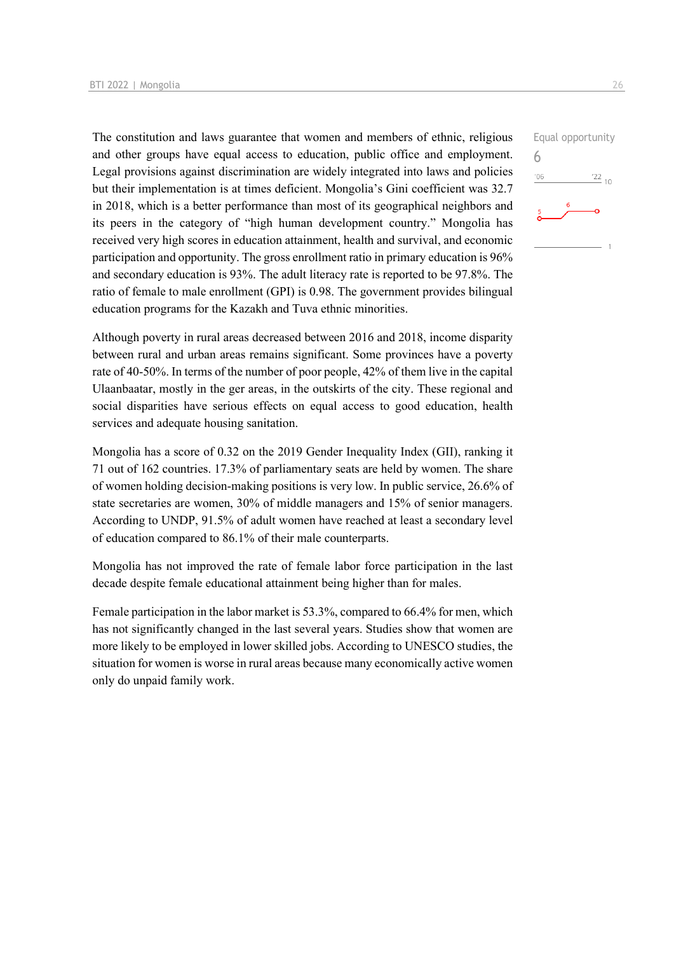The constitution and laws guarantee that women and members of ethnic, religious and other groups have equal access to education, public office and employment. Legal provisions against discrimination are widely integrated into laws and policies but their implementation is at times deficient. Mongolia's Gini coefficient was 32.7 in 2018, which is a better performance than most of its geographical neighbors and its peers in the category of "high human development country." Mongolia has received very high scores in education attainment, health and survival, and economic participation and opportunity. The gross enrollment ratio in primary education is 96% and secondary education is 93%. The adult literacy rate is reported to be 97.8%. The ratio of female to male enrollment (GPI) is 0.98. The government provides bilingual education programs for the Kazakh and Tuva ethnic minorities.

Although poverty in rural areas decreased between 2016 and 2018, income disparity between rural and urban areas remains significant. Some provinces have a poverty rate of 40-50%. In terms of the number of poor people, 42% of them live in the capital Ulaanbaatar, mostly in the ger areas, in the outskirts of the city. These regional and social disparities have serious effects on equal access to good education, health services and adequate housing sanitation.

Mongolia has a score of 0.32 on the 2019 Gender Inequality Index (GII), ranking it 71 out of 162 countries. 17.3% of parliamentary seats are held by women. The share of women holding decision-making positions is very low. In public service, 26.6% of state secretaries are women, 30% of middle managers and 15% of senior managers. According to UNDP, 91.5% of adult women have reached at least a secondary level of education compared to 86.1% of their male counterparts.

Mongolia has not improved the rate of female labor force participation in the last decade despite female educational attainment being higher than for males.

Female participation in the labor market is 53.3%, compared to 66.4% for men, which has not significantly changed in the last several years. Studies show that women are more likely to be employed in lower skilled jobs. According to UNESCO studies, the situation for women is worse in rural areas because many economically active women only do unpaid family work.

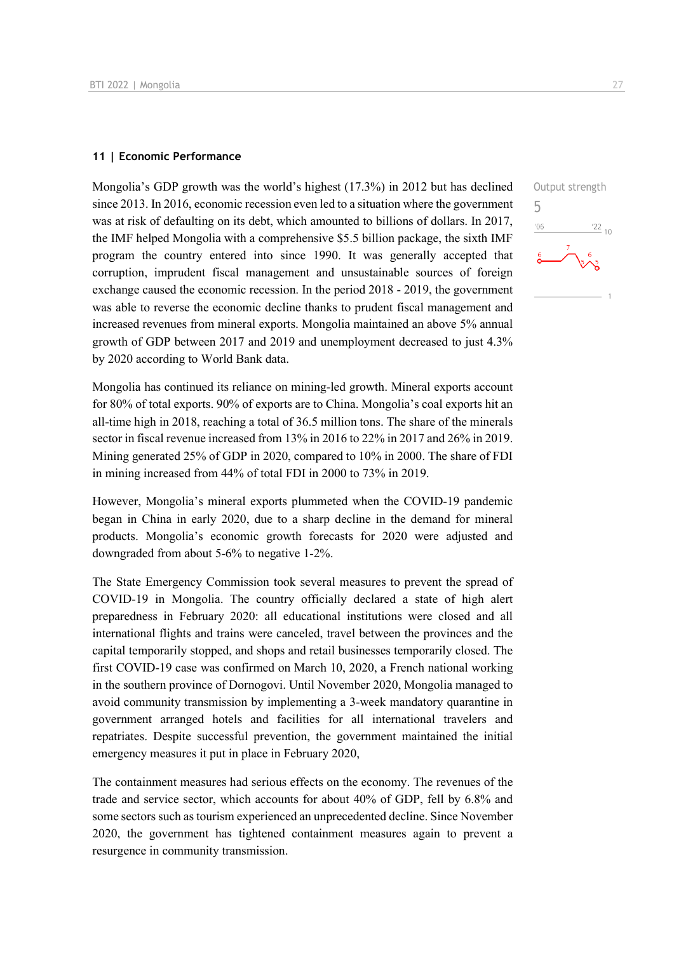#### **11 | Economic Performance**

Mongolia's GDP growth was the world's highest (17.3%) in 2012 but has declined since 2013. In 2016, economic recession even led to a situation where the government was at risk of defaulting on its debt, which amounted to billions of dollars. In 2017, the IMF helped Mongolia with a comprehensive \$5.5 billion package, the sixth IMF program the country entered into since 1990. It was generally accepted that corruption, imprudent fiscal management and unsustainable sources of foreign exchange caused the economic recession. In the period 2018 - 2019, the government was able to reverse the economic decline thanks to prudent fiscal management and increased revenues from mineral exports. Mongolia maintained an above 5% annual growth of GDP between 2017 and 2019 and unemployment decreased to just 4.3% by 2020 according to World Bank data.

Mongolia has continued its reliance on mining-led growth. Mineral exports account for 80% of total exports. 90% of exports are to China. Mongolia's coal exports hit an all-time high in 2018, reaching a total of 36.5 million tons. The share of the minerals sector in fiscal revenue increased from 13% in 2016 to 22% in 2017 and 26% in 2019. Mining generated 25% of GDP in 2020, compared to 10% in 2000. The share of FDI in mining increased from 44% of total FDI in 2000 to 73% in 2019.

However, Mongolia's mineral exports plummeted when the COVID-19 pandemic began in China in early 2020, due to a sharp decline in the demand for mineral products. Mongolia's economic growth forecasts for 2020 were adjusted and downgraded from about 5-6% to negative 1-2%.

The State Emergency Commission took several measures to prevent the spread of COVID-19 in Mongolia. The country officially declared a state of high alert preparedness in February 2020: all educational institutions were closed and all international flights and trains were canceled, travel between the provinces and the capital temporarily stopped, and shops and retail businesses temporarily closed. The first COVID-19 case was confirmed on March 10, 2020, a French national working in the southern province of Dornogovi. Until November 2020, Mongolia managed to avoid community transmission by implementing a 3-week mandatory quarantine in government arranged hotels and facilities for all international travelers and repatriates. Despite successful prevention, the government maintained the initial emergency measures it put in place in February 2020,

The containment measures had serious effects on the economy. The revenues of the trade and service sector, which accounts for about 40% of GDP, fell by 6.8% and some sectors such as tourism experienced an unprecedented decline. Since November 2020, the government has tightened containment measures again to prevent a resurgence in community transmission.

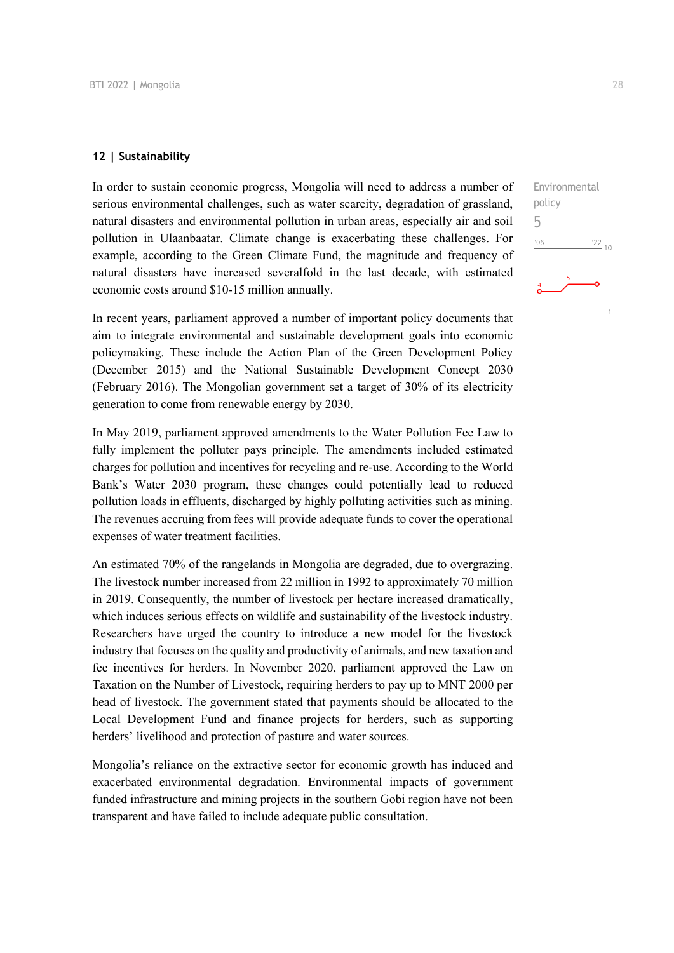#### **12 | Sustainability**

In order to sustain economic progress, Mongolia will need to address a number of serious environmental challenges, such as water scarcity, degradation of grassland, natural disasters and environmental pollution in urban areas, especially air and soil pollution in Ulaanbaatar. Climate change is exacerbating these challenges. For example, according to the Green Climate Fund, the magnitude and frequency of natural disasters have increased severalfold in the last decade, with estimated economic costs around \$10-15 million annually.

In recent years, parliament approved a number of important policy documents that aim to integrate environmental and sustainable development goals into economic policymaking. These include the Action Plan of the Green Development Policy (December 2015) and the National Sustainable Development Concept 2030 (February 2016). The Mongolian government set a target of 30% of its electricity generation to come from renewable energy by 2030.

In May 2019, parliament approved amendments to the Water Pollution Fee Law to fully implement the polluter pays principle. The amendments included estimated charges for pollution and incentives for recycling and re-use. According to the World Bank's Water 2030 program, these changes could potentially lead to reduced pollution loads in effluents, discharged by highly polluting activities such as mining. The revenues accruing from fees will provide adequate funds to cover the operational expenses of water treatment facilities.

An estimated 70% of the rangelands in Mongolia are degraded, due to overgrazing. The livestock number increased from 22 million in 1992 to approximately 70 million in 2019. Consequently, the number of livestock per hectare increased dramatically, which induces serious effects on wildlife and sustainability of the livestock industry. Researchers have urged the country to introduce a new model for the livestock industry that focuses on the quality and productivity of animals, and new taxation and fee incentives for herders. In November 2020, parliament approved the Law on Taxation on the Number of Livestock, requiring herders to pay up to MNT 2000 per head of livestock. The government stated that payments should be allocated to the Local Development Fund and finance projects for herders, such as supporting herders' livelihood and protection of pasture and water sources.

Mongolia's reliance on the extractive sector for economic growth has induced and exacerbated environmental degradation. Environmental impacts of government funded infrastructure and mining projects in the southern Gobi region have not been transparent and have failed to include adequate public consultation.

Environmental

 $\frac{22}{10}$ 

policy 5 $06'$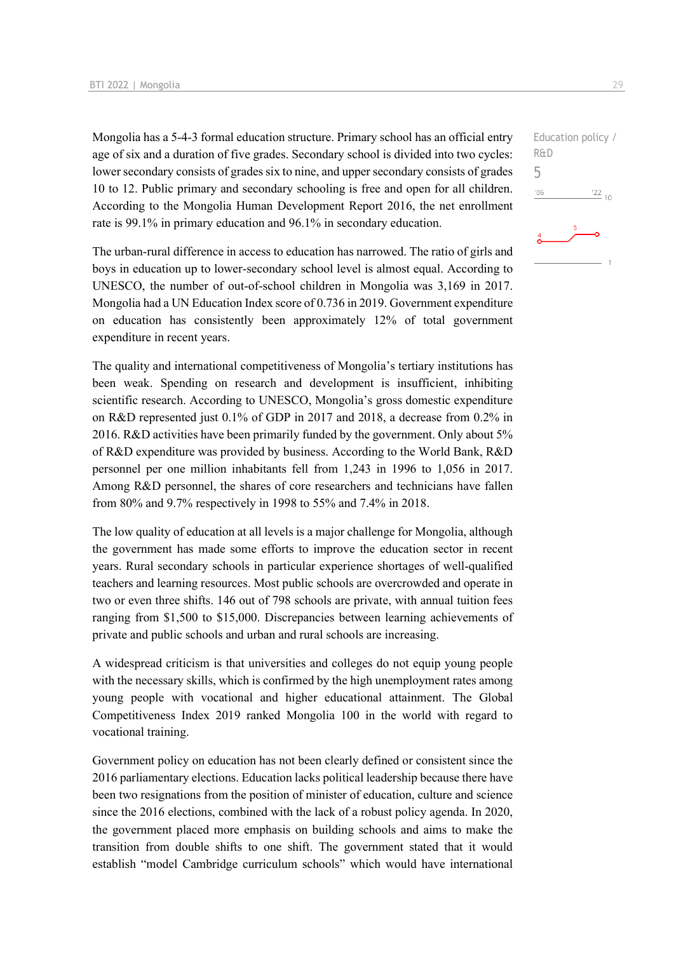Mongolia has a 5-4-3 formal education structure. Primary school has an official entry age of six and a duration of five grades. Secondary school is divided into two cycles: lower secondary consists of grades six to nine, and upper secondary consists of grades 10 to 12. Public primary and secondary schooling is free and open for all children. According to the Mongolia Human Development Report 2016, the net enrollment rate is 99.1% in primary education and 96.1% in secondary education.

The urban-rural difference in access to education has narrowed. The ratio of girls and boys in education up to lower-secondary school level is almost equal. According to UNESCO, the number of out-of-school children in Mongolia was 3,169 in 2017. Mongolia had a UN Education Index score of 0.736 in 2019. Government expenditure on education has consistently been approximately 12% of total government expenditure in recent years.

The quality and international competitiveness of Mongolia's tertiary institutions has been weak. Spending on research and development is insufficient, inhibiting scientific research. According to UNESCO, Mongolia's gross domestic expenditure on R&D represented just 0.1% of GDP in 2017 and 2018, a decrease from 0.2% in 2016. R&D activities have been primarily funded by the government. Only about 5% of R&D expenditure was provided by business. According to the World Bank, R&D personnel per one million inhabitants fell from 1,243 in 1996 to 1,056 in 2017. Among R&D personnel, the shares of core researchers and technicians have fallen from 80% and 9.7% respectively in 1998 to 55% and 7.4% in 2018.

The low quality of education at all levels is a major challenge for Mongolia, although the government has made some efforts to improve the education sector in recent years. Rural secondary schools in particular experience shortages of well-qualified teachers and learning resources. Most public schools are overcrowded and operate in two or even three shifts. 146 out of 798 schools are private, with annual tuition fees ranging from \$1,500 to \$15,000. Discrepancies between learning achievements of private and public schools and urban and rural schools are increasing.

A widespread criticism is that universities and colleges do not equip young people with the necessary skills, which is confirmed by the high unemployment rates among young people with vocational and higher educational attainment. The Global Competitiveness Index 2019 ranked Mongolia 100 in the world with regard to vocational training.

Government policy on education has not been clearly defined or consistent since the 2016 parliamentary elections. Education lacks political leadership because there have been two resignations from the position of minister of education, culture and science since the 2016 elections, combined with the lack of a robust policy agenda. In 2020, the government placed more emphasis on building schools and aims to make the transition from double shifts to one shift. The government stated that it would establish "model Cambridge curriculum schools" which would have international Education policy /

 $\frac{22}{10}$ 

R&D 5 $-06$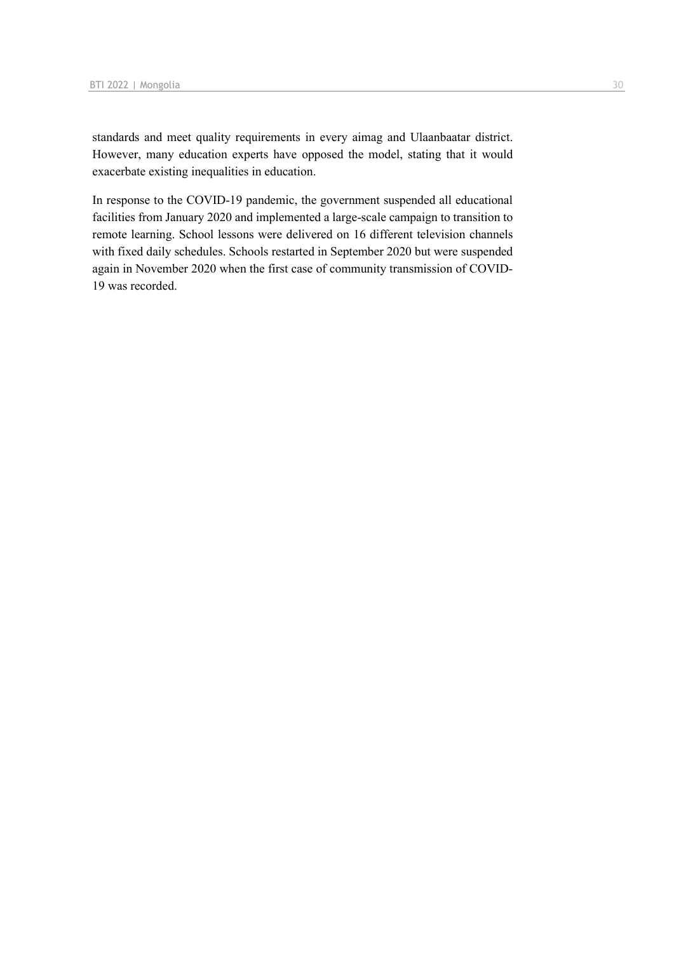standards and meet quality requirements in every aimag and Ulaanbaatar district. However, many education experts have opposed the model, stating that it would exacerbate existing inequalities in education.

In response to the COVID-19 pandemic, the government suspended all educational facilities from January 2020 and implemented a large-scale campaign to transition to remote learning. School lessons were delivered on 16 different television channels with fixed daily schedules. Schools restarted in September 2020 but were suspended again in November 2020 when the first case of community transmission of COVID-19 was recorded.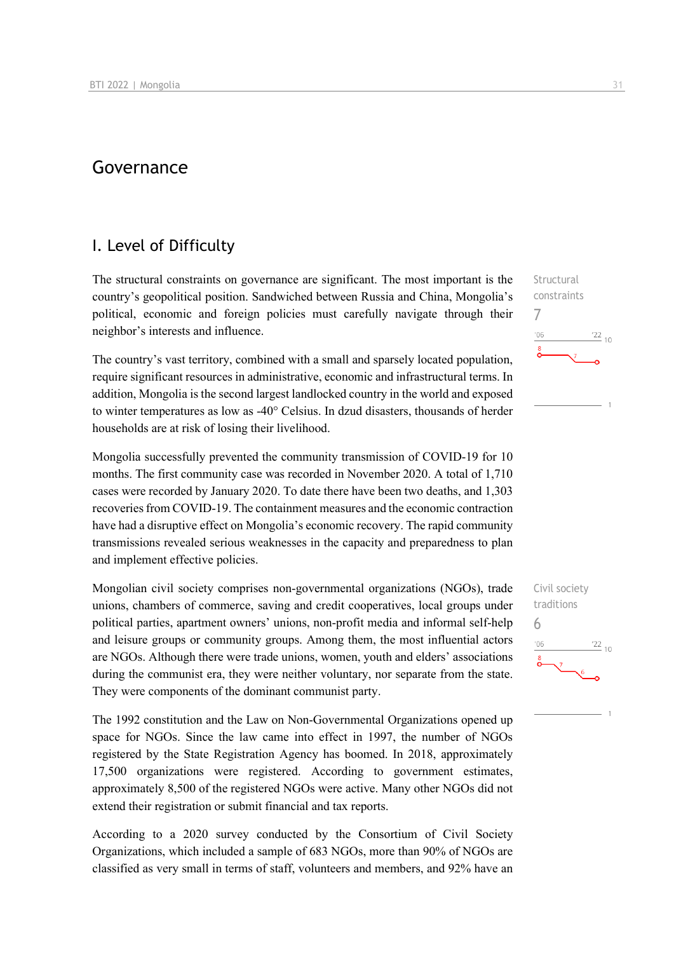## Governance

### I. Level of Difficulty

The structural constraints on governance are significant. The most important is the country's geopolitical position. Sandwiched between Russia and China, Mongolia's political, economic and foreign policies must carefully navigate through their neighbor's interests and influence.

The country's vast territory, combined with a small and sparsely located population, require significant resources in administrative, economic and infrastructural terms. In addition, Mongolia is the second largest landlocked country in the world and exposed to winter temperatures as low as -40° Celsius. In dzud disasters, thousands of herder households are at risk of losing their livelihood.

Mongolia successfully prevented the community transmission of COVID-19 for 10 months. The first community case was recorded in November 2020. A total of 1,710 cases were recorded by January 2020. To date there have been two deaths, and 1,303 recoveries from COVID-19. The containment measures and the economic contraction have had a disruptive effect on Mongolia's economic recovery. The rapid community transmissions revealed serious weaknesses in the capacity and preparedness to plan and implement effective policies.

Mongolian civil society comprises non-governmental organizations (NGOs), trade unions, chambers of commerce, saving and credit cooperatives, local groups under political parties, apartment owners' unions, non-profit media and informal self-help and leisure groups or community groups. Among them, the most influential actors are NGOs. Although there were trade unions, women, youth and elders' associations during the communist era, they were neither voluntary, nor separate from the state. They were components of the dominant communist party.

The 1992 constitution and the Law on Non-Governmental Organizations opened up space for NGOs. Since the law came into effect in 1997, the number of NGOs registered by the State Registration Agency has boomed. In 2018, approximately 17,500 organizations were registered. According to government estimates, approximately 8,500 of the registered NGOs were active. Many other NGOs did not extend their registration or submit financial and tax reports.

According to a 2020 survey conducted by the Consortium of Civil Society Organizations, which included a sample of 683 NGOs, more than 90% of NGOs are classified as very small in terms of staff, volunteers and members, and 92% have an



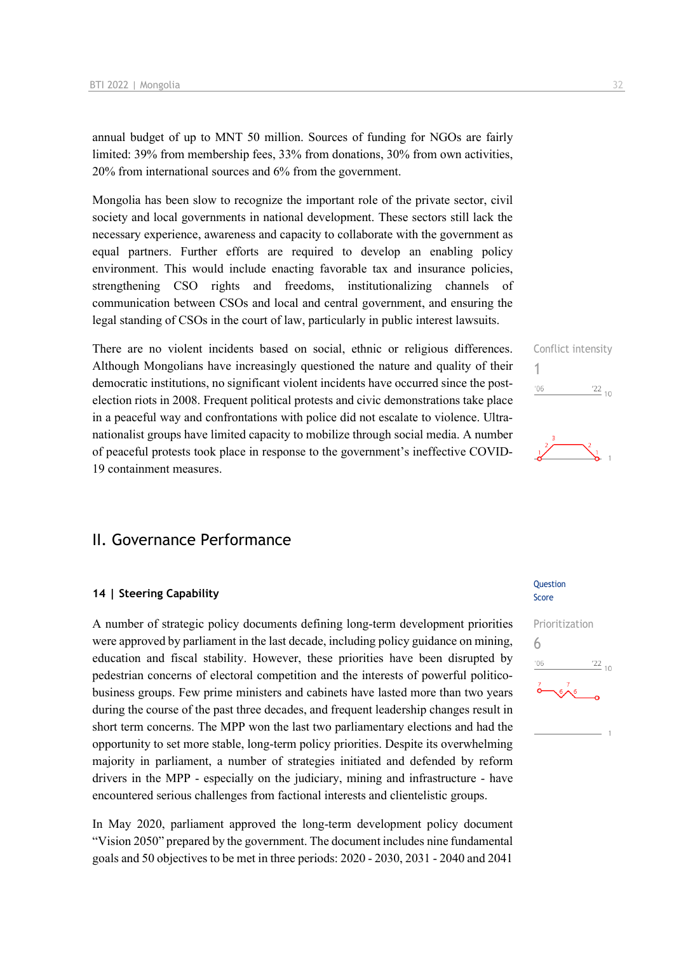annual budget of up to MNT 50 million. Sources of funding for NGOs are fairly limited: 39% from membership fees, 33% from donations, 30% from own activities, 20% from international sources and 6% from the government.

Mongolia has been slow to recognize the important role of the private sector, civil society and local governments in national development. These sectors still lack the necessary experience, awareness and capacity to collaborate with the government as equal partners. Further efforts are required to develop an enabling policy environment. This would include enacting favorable tax and insurance policies, strengthening CSO rights and freedoms, institutionalizing channels of communication between CSOs and local and central government, and ensuring the legal standing of CSOs in the court of law, particularly in public interest lawsuits.

There are no violent incidents based on social, ethnic or religious differences. Although Mongolians have increasingly questioned the nature and quality of their democratic institutions, no significant violent incidents have occurred since the postelection riots in 2008. Frequent political protests and civic demonstrations take place in a peaceful way and confrontations with police did not escalate to violence. Ultranationalist groups have limited capacity to mobilize through social media. A number of peaceful protests took place in response to the government's ineffective COVID-19 containment measures.

## II. Governance Performance

#### **14 | Steering Capability**

A number of strategic policy documents defining long-term development priorities were approved by parliament in the last decade, including policy guidance on mining, education and fiscal stability. However, these priorities have been disrupted by pedestrian concerns of electoral competition and the interests of powerful politicobusiness groups. Few prime ministers and cabinets have lasted more than two years during the course of the past three decades, and frequent leadership changes result in short term concerns. The MPP won the last two parliamentary elections and had the opportunity to set more stable, long-term policy priorities. Despite its overwhelming majority in parliament, a number of strategies initiated and defended by reform drivers in the MPP - especially on the judiciary, mining and infrastructure - have encountered serious challenges from factional interests and clientelistic groups.

In May 2020, parliament approved the long-term development policy document "Vision 2050" prepared by the government. The document includes nine fundamental goals and 50 objectives to be met in three periods: 2020 - 2030, 2031 - 2040 and 2041

#### Question Score





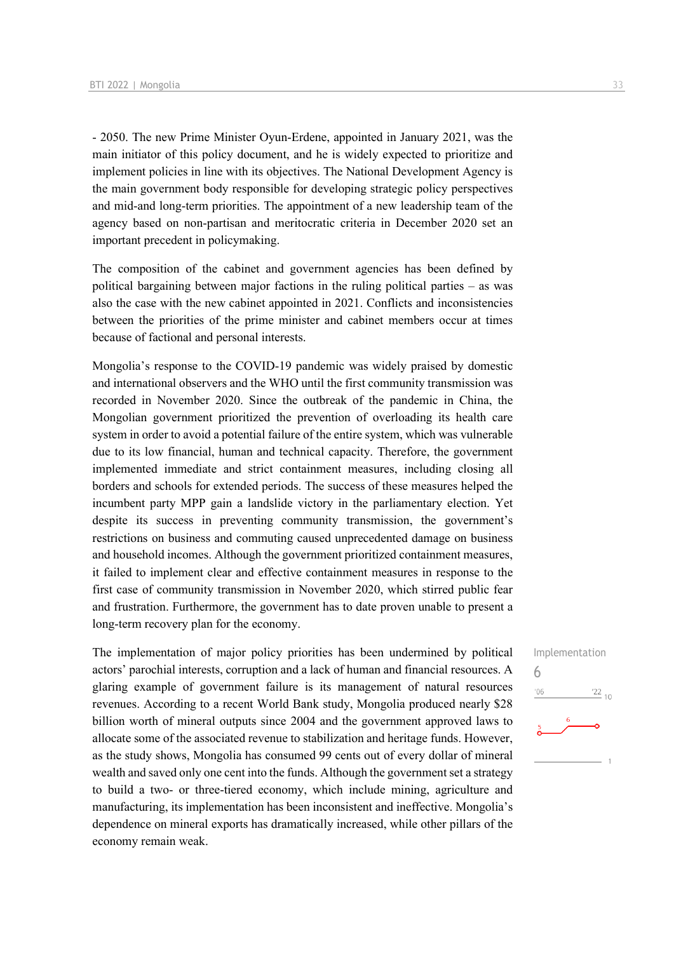- 2050. The new Prime Minister Oyun-Erdene, appointed in January 2021, was the main initiator of this policy document, and he is widely expected to prioritize and implement policies in line with its objectives. The National Development Agency is the main government body responsible for developing strategic policy perspectives and mid-and long-term priorities. The appointment of a new leadership team of the agency based on non-partisan and meritocratic criteria in December 2020 set an important precedent in policymaking.

The composition of the cabinet and government agencies has been defined by political bargaining between major factions in the ruling political parties – as was also the case with the new cabinet appointed in 2021. Conflicts and inconsistencies between the priorities of the prime minister and cabinet members occur at times because of factional and personal interests.

Mongolia's response to the COVID-19 pandemic was widely praised by domestic and international observers and the WHO until the first community transmission was recorded in November 2020. Since the outbreak of the pandemic in China, the Mongolian government prioritized the prevention of overloading its health care system in order to avoid a potential failure of the entire system, which was vulnerable due to its low financial, human and technical capacity. Therefore, the government implemented immediate and strict containment measures, including closing all borders and schools for extended periods. The success of these measures helped the incumbent party MPP gain a landslide victory in the parliamentary election. Yet despite its success in preventing community transmission, the government's restrictions on business and commuting caused unprecedented damage on business and household incomes. Although the government prioritized containment measures, it failed to implement clear and effective containment measures in response to the first case of community transmission in November 2020, which stirred public fear and frustration. Furthermore, the government has to date proven unable to present a long-term recovery plan for the economy.

The implementation of major policy priorities has been undermined by political actors' parochial interests, corruption and a lack of human and financial resources. A glaring example of government failure is its management of natural resources revenues. According to a recent World Bank study, Mongolia produced nearly \$28 billion worth of mineral outputs since 2004 and the government approved laws to allocate some of the associated revenue to stabilization and heritage funds. However, as the study shows, Mongolia has consumed 99 cents out of every dollar of mineral wealth and saved only one cent into the funds. Although the government set a strategy to build a two- or three-tiered economy, which include mining, agriculture and manufacturing, its implementation has been inconsistent and ineffective. Mongolia's dependence on mineral exports has dramatically increased, while other pillars of the economy remain weak.

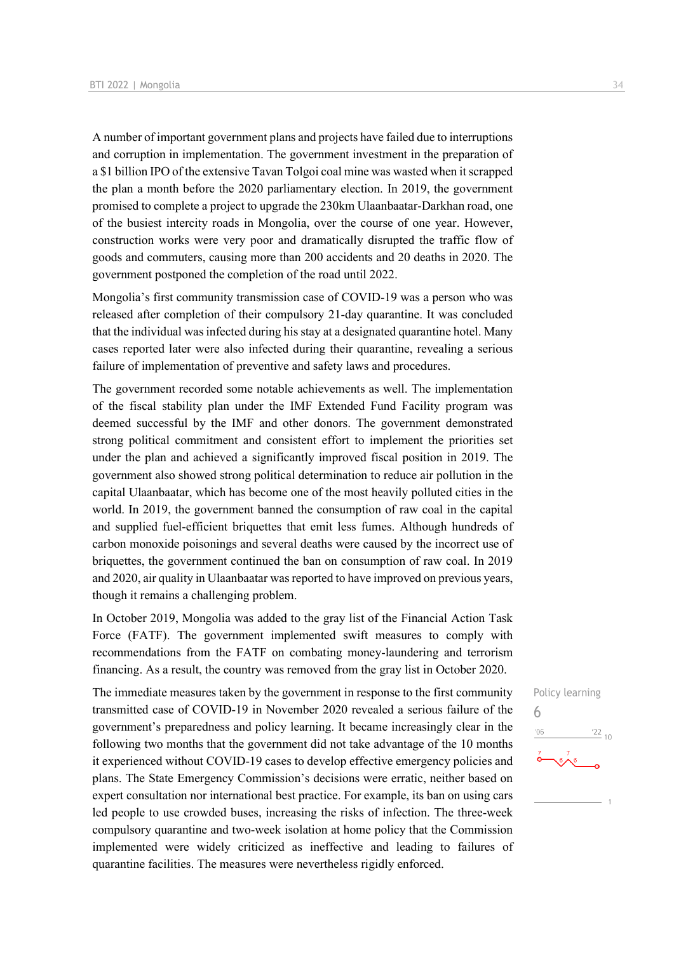A number of important government plans and projects have failed due to interruptions and corruption in implementation. The government investment in the preparation of a \$1 billion IPO of the extensive Tavan Tolgoi coal mine was wasted when it scrapped the plan a month before the 2020 parliamentary election. In 2019, the government promised to complete a project to upgrade the 230km Ulaanbaatar-Darkhan road, one of the busiest intercity roads in Mongolia, over the course of one year. However, construction works were very poor and dramatically disrupted the traffic flow of goods and commuters, causing more than 200 accidents and 20 deaths in 2020. The government postponed the completion of the road until 2022.

Mongolia's first community transmission case of COVID-19 was a person who was released after completion of their compulsory 21-day quarantine. It was concluded that the individual was infected during his stay at a designated quarantine hotel. Many cases reported later were also infected during their quarantine, revealing a serious failure of implementation of preventive and safety laws and procedures.

The government recorded some notable achievements as well. The implementation of the fiscal stability plan under the IMF Extended Fund Facility program was deemed successful by the IMF and other donors. The government demonstrated strong political commitment and consistent effort to implement the priorities set under the plan and achieved a significantly improved fiscal position in 2019. The government also showed strong political determination to reduce air pollution in the capital Ulaanbaatar, which has become one of the most heavily polluted cities in the world. In 2019, the government banned the consumption of raw coal in the capital and supplied fuel-efficient briquettes that emit less fumes. Although hundreds of carbon monoxide poisonings and several deaths were caused by the incorrect use of briquettes, the government continued the ban on consumption of raw coal. In 2019 and 2020, air quality in Ulaanbaatar was reported to have improved on previous years, though it remains a challenging problem.

In October 2019, Mongolia was added to the gray list of the Financial Action Task Force (FATF). The government implemented swift measures to comply with recommendations from the FATF on combating money-laundering and terrorism financing. As a result, the country was removed from the gray list in October 2020.

The immediate measures taken by the government in response to the first community transmitted case of COVID-19 in November 2020 revealed a serious failure of the government's preparedness and policy learning. It became increasingly clear in the following two months that the government did not take advantage of the 10 months it experienced without COVID-19 cases to develop effective emergency policies and plans. The State Emergency Commission's decisions were erratic, neither based on expert consultation nor international best practice. For example, its ban on using cars led people to use crowded buses, increasing the risks of infection. The three-week compulsory quarantine and two-week isolation at home policy that the Commission implemented were widely criticized as ineffective and leading to failures of quarantine facilities. The measures were nevertheless rigidly enforced.

 $\overline{1}$ 

6

 $06'$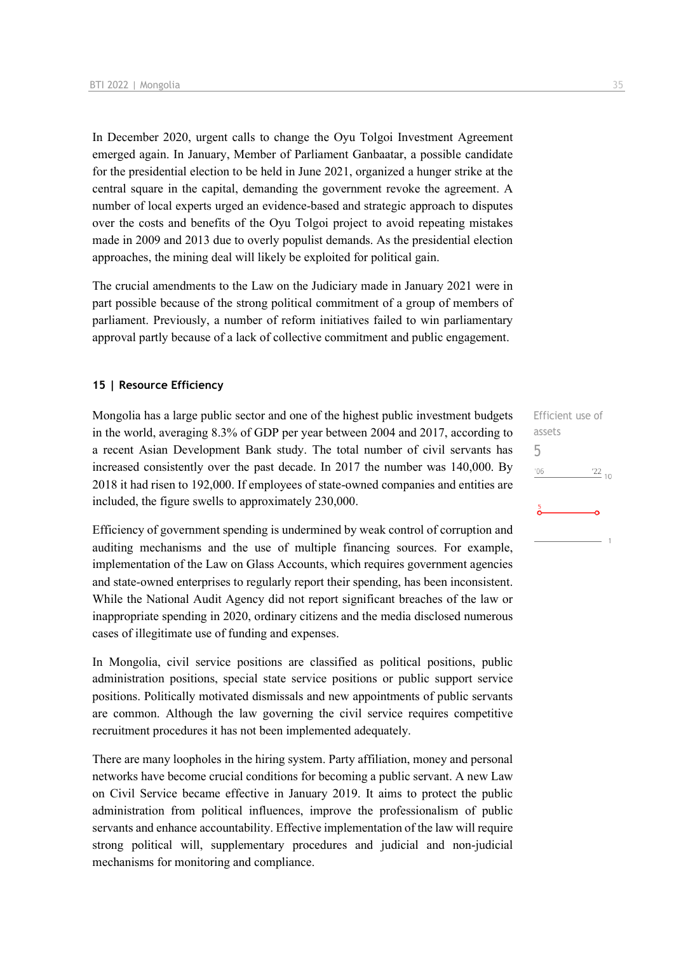In December 2020, urgent calls to change the Oyu Tolgoi Investment Agreement emerged again. In January, Member of Parliament Ganbaatar, a possible candidate for the presidential election to be held in June 2021, organized a hunger strike at the central square in the capital, demanding the government revoke the agreement. A number of local experts urged an evidence-based and strategic approach to disputes over the costs and benefits of the Oyu Tolgoi project to avoid repeating mistakes made in 2009 and 2013 due to overly populist demands. As the presidential election approaches, the mining deal will likely be exploited for political gain.

The crucial amendments to the Law on the Judiciary made in January 2021 were in part possible because of the strong political commitment of a group of members of parliament. Previously, a number of reform initiatives failed to win parliamentary approval partly because of a lack of collective commitment and public engagement.

#### **15 | Resource Efficiency**

Mongolia has a large public sector and one of the highest public investment budgets in the world, averaging 8.3% of GDP per year between 2004 and 2017, according to a recent Asian Development Bank study. The total number of civil servants has increased consistently over the past decade. In 2017 the number was 140,000. By 2018 it had risen to 192,000. If employees of state-owned companies and entities are included, the figure swells to approximately 230,000.

Efficiency of government spending is undermined by weak control of corruption and auditing mechanisms and the use of multiple financing sources. For example, implementation of the Law on Glass Accounts, which requires government agencies and state-owned enterprises to regularly report their spending, has been inconsistent. While the National Audit Agency did not report significant breaches of the law or inappropriate spending in 2020, ordinary citizens and the media disclosed numerous cases of illegitimate use of funding and expenses.

In Mongolia, civil service positions are classified as political positions, public administration positions, special state service positions or public support service positions. Politically motivated dismissals and new appointments of public servants are common. Although the law governing the civil service requires competitive recruitment procedures it has not been implemented adequately.

There are many loopholes in the hiring system. Party affiliation, money and personal networks have become crucial conditions for becoming a public servant. A new Law on Civil Service became effective in January 2019. It aims to protect the public administration from political influences, improve the professionalism of public servants and enhance accountability. Effective implementation of the law will require strong political will, supplementary procedures and judicial and non-judicial mechanisms for monitoring and compliance.

Efficient use of assets 5 $\frac{22}{10}$  $-06$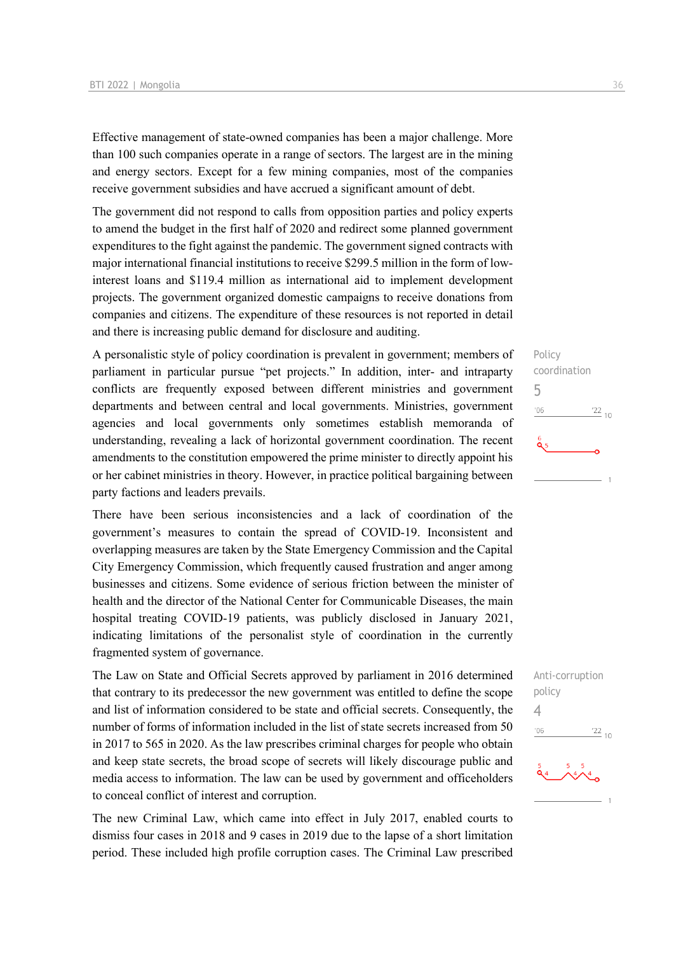Effective management of state-owned companies has been a major challenge. More than 100 such companies operate in a range of sectors. The largest are in the mining and energy sectors. Except for a few mining companies, most of the companies receive government subsidies and have accrued a significant amount of debt.

The government did not respond to calls from opposition parties and policy experts to amend the budget in the first half of 2020 and redirect some planned government expenditures to the fight against the pandemic. The government signed contracts with major international financial institutions to receive \$299.5 million in the form of lowinterest loans and \$119.4 million as international aid to implement development projects. The government organized domestic campaigns to receive donations from companies and citizens. The expenditure of these resources is not reported in detail and there is increasing public demand for disclosure and auditing.

A personalistic style of policy coordination is prevalent in government; members of parliament in particular pursue "pet projects." In addition, inter- and intraparty conflicts are frequently exposed between different ministries and government departments and between central and local governments. Ministries, government agencies and local governments only sometimes establish memoranda of understanding, revealing a lack of horizontal government coordination. The recent amendments to the constitution empowered the prime minister to directly appoint his or her cabinet ministries in theory. However, in practice political bargaining between party factions and leaders prevails.

There have been serious inconsistencies and a lack of coordination of the government's measures to contain the spread of COVID-19. Inconsistent and overlapping measures are taken by the State Emergency Commission and the Capital City Emergency Commission, which frequently caused frustration and anger among businesses and citizens. Some evidence of serious friction between the minister of health and the director of the National Center for Communicable Diseases, the main hospital treating COVID-19 patients, was publicly disclosed in January 2021, indicating limitations of the personalist style of coordination in the currently fragmented system of governance.

The Law on State and Official Secrets approved by parliament in 2016 determined that contrary to its predecessor the new government was entitled to define the scope and list of information considered to be state and official secrets. Consequently, the number of forms of information included in the list of state secrets increased from 50 in 2017 to 565 in 2020. As the law prescribes criminal charges for people who obtain and keep state secrets, the broad scope of secrets will likely discourage public and media access to information. The law can be used by government and officeholders to conceal conflict of interest and corruption.

The new Criminal Law, which came into effect in July 2017, enabled courts to dismiss four cases in 2018 and 9 cases in 2019 due to the lapse of a short limitation period. These included high profile corruption cases. The Criminal Law prescribed



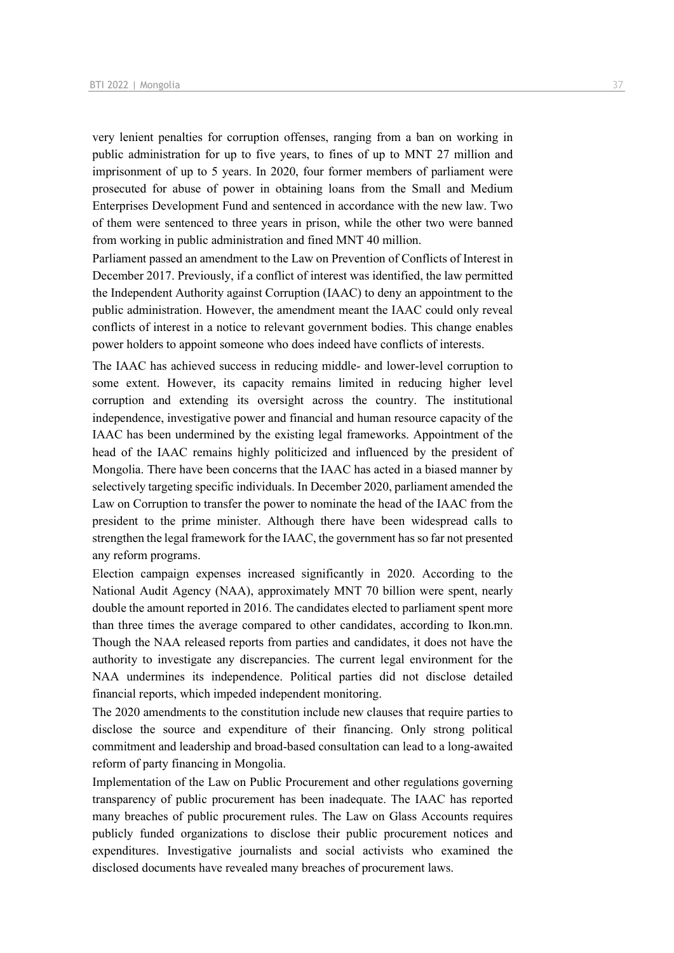very lenient penalties for corruption offenses, ranging from a ban on working in public administration for up to five years, to fines of up to MNT 27 million and imprisonment of up to 5 years. In 2020, four former members of parliament were prosecuted for abuse of power in obtaining loans from the Small and Medium Enterprises Development Fund and sentenced in accordance with the new law. Two of them were sentenced to three years in prison, while the other two were banned from working in public administration and fined MNT 40 million.

Parliament passed an amendment to the Law on Prevention of Conflicts of Interest in December 2017. Previously, if a conflict of interest was identified, the law permitted the Independent Authority against Corruption (IAAC) to deny an appointment to the public administration. However, the amendment meant the IAAC could only reveal conflicts of interest in a notice to relevant government bodies. This change enables power holders to appoint someone who does indeed have conflicts of interests.

The IAAC has achieved success in reducing middle- and lower-level corruption to some extent. However, its capacity remains limited in reducing higher level corruption and extending its oversight across the country. The institutional independence, investigative power and financial and human resource capacity of the IAAC has been undermined by the existing legal frameworks. Appointment of the head of the IAAC remains highly politicized and influenced by the president of Mongolia. There have been concerns that the IAAC has acted in a biased manner by selectively targeting specific individuals. In December 2020, parliament amended the Law on Corruption to transfer the power to nominate the head of the IAAC from the president to the prime minister. Although there have been widespread calls to strengthen the legal framework for the IAAC, the government has so far not presented any reform programs.

Election campaign expenses increased significantly in 2020. According to the National Audit Agency (NAA), approximately MNT 70 billion were spent, nearly double the amount reported in 2016. The candidates elected to parliament spent more than three times the average compared to other candidates, according to Ikon.mn. Though the NAA released reports from parties and candidates, it does not have the authority to investigate any discrepancies. The current legal environment for the NAA undermines its independence. Political parties did not disclose detailed financial reports, which impeded independent monitoring.

The 2020 amendments to the constitution include new clauses that require parties to disclose the source and expenditure of their financing. Only strong political commitment and leadership and broad-based consultation can lead to a long-awaited reform of party financing in Mongolia.

Implementation of the Law on Public Procurement and other regulations governing transparency of public procurement has been inadequate. The IAAC has reported many breaches of public procurement rules. The Law on Glass Accounts requires publicly funded organizations to disclose their public procurement notices and expenditures. Investigative journalists and social activists who examined the disclosed documents have revealed many breaches of procurement laws.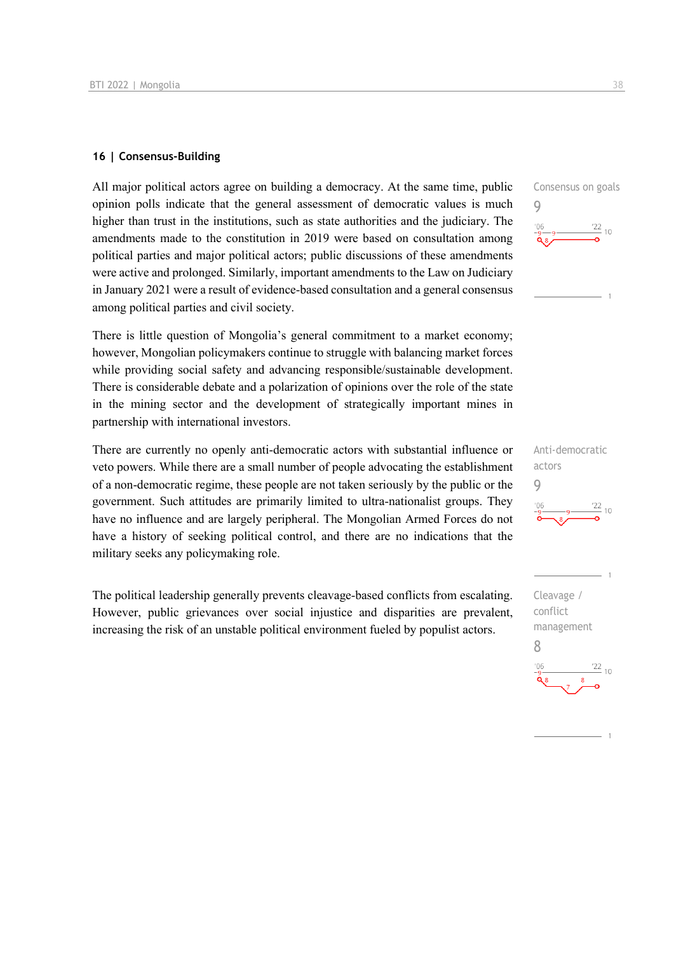#### **16 | Consensus-Building**

All major political actors agree on building a democracy. At the same time, public opinion polls indicate that the general assessment of democratic values is much higher than trust in the institutions, such as state authorities and the judiciary. The amendments made to the constitution in 2019 were based on consultation among political parties and major political actors; public discussions of these amendments were active and prolonged. Similarly, important amendments to the Law on Judiciary in January 2021 were a result of evidence-based consultation and a general consensus among political parties and civil society.

There is little question of Mongolia's general commitment to a market economy; however, Mongolian policymakers continue to struggle with balancing market forces while providing social safety and advancing responsible/sustainable development. There is considerable debate and a polarization of opinions over the role of the state in the mining sector and the development of strategically important mines in partnership with international investors.

There are currently no openly anti-democratic actors with substantial influence or veto powers. While there are a small number of people advocating the establishment of a non-democratic regime, these people are not taken seriously by the public or the government. Such attitudes are primarily limited to ultra-nationalist groups. They have no influence and are largely peripheral. The Mongolian Armed Forces do not have a history of seeking political control, and there are no indications that the military seeks any policymaking role.

The political leadership generally prevents cleavage-based conflicts from escalating. However, public grievances over social injustice and disparities are prevalent, increasing the risk of an unstable political environment fueled by populist actors.





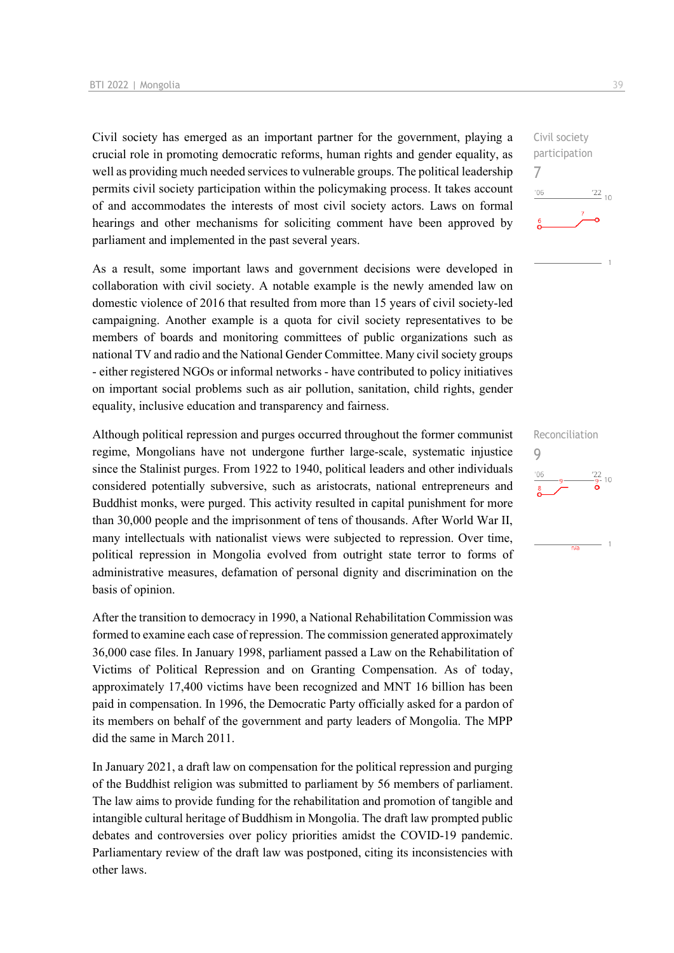Civil society has emerged as an important partner for the government, playing a crucial role in promoting democratic reforms, human rights and gender equality, as well as providing much needed services to vulnerable groups. The political leadership permits civil society participation within the policymaking process. It takes account of and accommodates the interests of most civil society actors. Laws on formal hearings and other mechanisms for soliciting comment have been approved by parliament and implemented in the past several years.

As a result, some important laws and government decisions were developed in collaboration with civil society. A notable example is the newly amended law on domestic violence of 2016 that resulted from more than 15 years of civil society-led campaigning. Another example is a quota for civil society representatives to be members of boards and monitoring committees of public organizations such as national TV and radio and the National Gender Committee. Many civil society groups - either registered NGOs or informal networks - have contributed to policy initiatives on important social problems such as air pollution, sanitation, child rights, gender equality, inclusive education and transparency and fairness.

Although political repression and purges occurred throughout the former communist regime, Mongolians have not undergone further large-scale, systematic injustice since the Stalinist purges. From 1922 to 1940, political leaders and other individuals considered potentially subversive, such as aristocrats, national entrepreneurs and Buddhist monks, were purged. This activity resulted in capital punishment for more than 30,000 people and the imprisonment of tens of thousands. After World War II, many intellectuals with nationalist views were subjected to repression. Over time, political repression in Mongolia evolved from outright state terror to forms of administrative measures, defamation of personal dignity and discrimination on the basis of opinion.

After the transition to democracy in 1990, a National Rehabilitation Commission was formed to examine each case of repression. The commission generated approximately 36,000 case files. In January 1998, parliament passed a Law on the Rehabilitation of Victims of Political Repression and on Granting Compensation. As of today, approximately 17,400 victims have been recognized and MNT 16 billion has been paid in compensation. In 1996, the Democratic Party officially asked for a pardon of its members on behalf of the government and party leaders of Mongolia. The MPP did the same in March 2011.

In January 2021, a draft law on compensation for the political repression and purging of the Buddhist religion was submitted to parliament by 56 members of parliament. The law aims to provide funding for the rehabilitation and promotion of tangible and intangible cultural heritage of Buddhism in Mongolia. The draft law prompted public debates and controversies over policy priorities amidst the COVID-19 pandemic. Parliamentary review of the draft law was postponed, citing its inconsistencies with other laws.

 $\frac{22}{10}$ 

Civil society participation

Reconciliation

 $n/a$ 

 $\frac{22}{9}$ - 10

 $\overline{1}$ 

9

7

 $-06$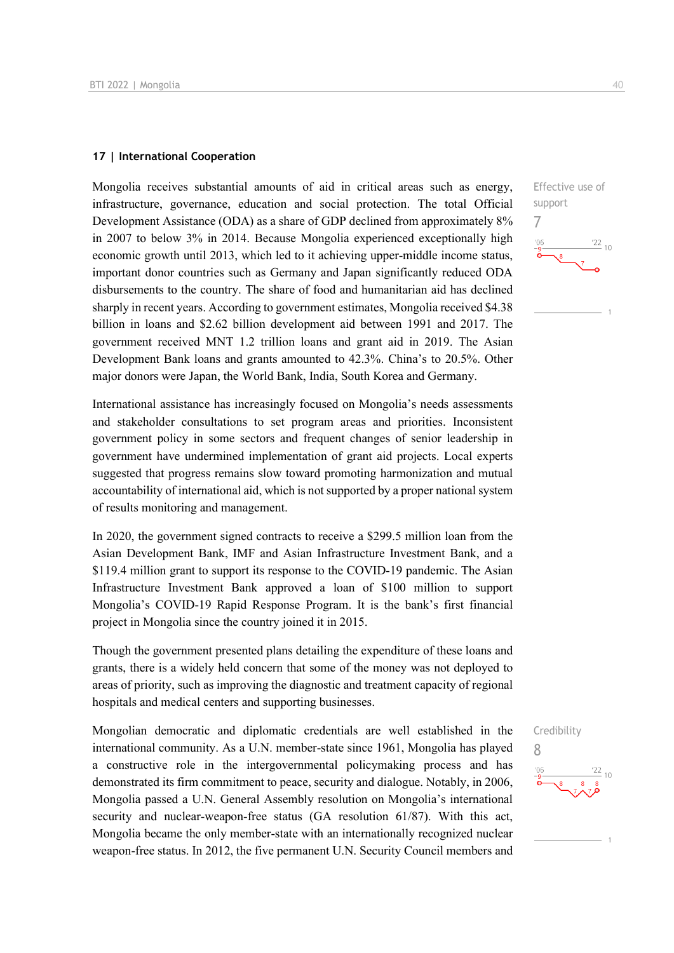#### **17 | International Cooperation**

Mongolia receives substantial amounts of aid in critical areas such as energy, infrastructure, governance, education and social protection. The total Official Development Assistance (ODA) as a share of GDP declined from approximately 8% in 2007 to below 3% in 2014. Because Mongolia experienced exceptionally high economic growth until 2013, which led to it achieving upper-middle income status, important donor countries such as Germany and Japan significantly reduced ODA disbursements to the country. The share of food and humanitarian aid has declined sharply in recent years. According to government estimates, Mongolia received \$4.38 billion in loans and \$2.62 billion development aid between 1991 and 2017. The government received MNT 1.2 trillion loans and grant aid in 2019. The Asian Development Bank loans and grants amounted to 42.3%. China's to 20.5%. Other major donors were Japan, the World Bank, India, South Korea and Germany.

International assistance has increasingly focused on Mongolia's needs assessments and stakeholder consultations to set program areas and priorities. Inconsistent government policy in some sectors and frequent changes of senior leadership in government have undermined implementation of grant aid projects. Local experts suggested that progress remains slow toward promoting harmonization and mutual accountability of international aid, which is not supported by a proper national system of results monitoring and management.

In 2020, the government signed contracts to receive a \$299.5 million loan from the Asian Development Bank, IMF and Asian Infrastructure Investment Bank, and a \$119.4 million grant to support its response to the COVID-19 pandemic. The Asian Infrastructure Investment Bank approved a loan of \$100 million to support Mongolia's COVID-19 Rapid Response Program. It is the bank's first financial project in Mongolia since the country joined it in 2015.

Though the government presented plans detailing the expenditure of these loans and grants, there is a widely held concern that some of the money was not deployed to areas of priority, such as improving the diagnostic and treatment capacity of regional hospitals and medical centers and supporting businesses.

Mongolian democratic and diplomatic credentials are well established in the international community. As a U.N. member-state since 1961, Mongolia has played a constructive role in the intergovernmental policymaking process and has demonstrated its firm commitment to peace, security and dialogue. Notably, in 2006, Mongolia passed a U.N. General Assembly resolution on Mongolia's international security and nuclear-weapon-free status (GA resolution 61/87). With this act, Mongolia became the only member-state with an internationally recognized nuclear weapon-free status. In 2012, the five permanent U.N. Security Council members and



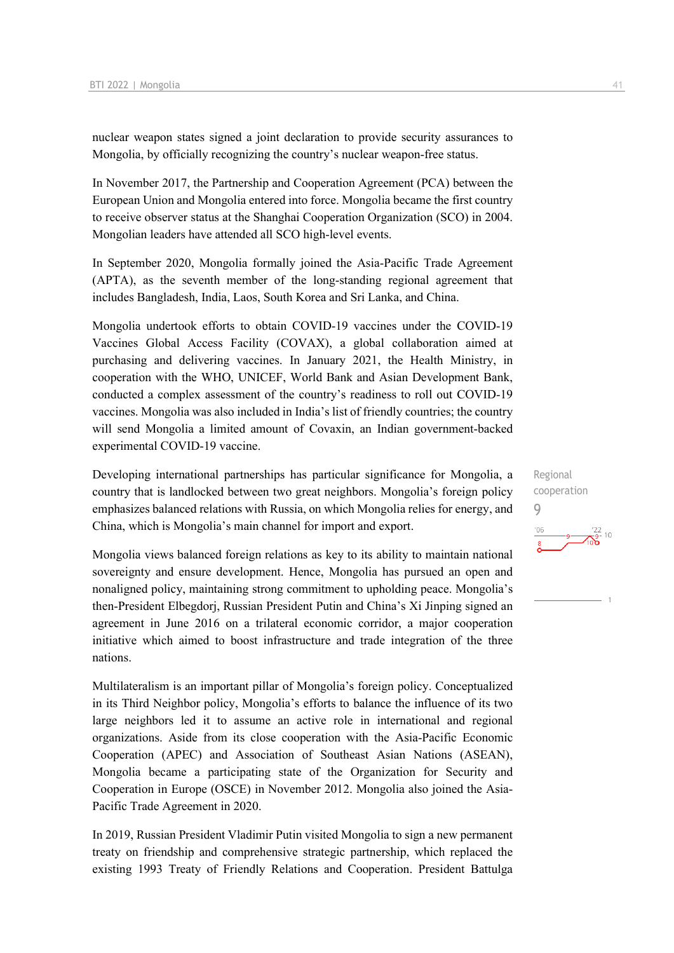nuclear weapon states signed a joint declaration to provide security assurances to Mongolia, by officially recognizing the country's nuclear weapon-free status.

In November 2017, the Partnership and Cooperation Agreement (PCA) between the European Union and Mongolia entered into force. Mongolia became the first country to receive observer status at the Shanghai Cooperation Organization (SCO) in 2004. Mongolian leaders have attended all SCO high-level events.

In September 2020, Mongolia formally joined the Asia-Pacific Trade Agreement (APTA), as the seventh member of the long-standing regional agreement that includes Bangladesh, India, Laos, South Korea and Sri Lanka, and China.

Mongolia undertook efforts to obtain COVID-19 vaccines under the COVID-19 Vaccines Global Access Facility (COVAX), a global collaboration aimed at purchasing and delivering vaccines. In January 2021, the Health Ministry, in cooperation with the WHO, UNICEF, World Bank and Asian Development Bank, conducted a complex assessment of the country's readiness to roll out COVID-19 vaccines. Mongolia was also included in India's list of friendly countries; the country will send Mongolia a limited amount of Covaxin, an Indian government-backed experimental COVID-19 vaccine.

Developing international partnerships has particular significance for Mongolia, a country that is landlocked between two great neighbors. Mongolia's foreign policy emphasizes balanced relations with Russia, on which Mongolia relies for energy, and China, which is Mongolia's main channel for import and export.

Mongolia views balanced foreign relations as key to its ability to maintain national sovereignty and ensure development. Hence, Mongolia has pursued an open and nonaligned policy, maintaining strong commitment to upholding peace. Mongolia's then-President Elbegdorj, Russian President Putin and China's Xi Jinping signed an agreement in June 2016 on a trilateral economic corridor, a major cooperation initiative which aimed to boost infrastructure and trade integration of the three nations.

Multilateralism is an important pillar of Mongolia's foreign policy. Conceptualized in its Third Neighbor policy, Mongolia's efforts to balance the influence of its two large neighbors led it to assume an active role in international and regional organizations. Aside from its close cooperation with the Asia-Pacific Economic Cooperation (APEC) and Association of Southeast Asian Nations (ASEAN), Mongolia became a participating state of the Organization for Security and Cooperation in Europe (OSCE) in November 2012. Mongolia also joined the Asia-Pacific Trade Agreement in 2020.

In 2019, Russian President Vladimir Putin visited Mongolia to sign a new permanent treaty on friendship and comprehensive strategic partnership, which replaced the existing 1993 Treaty of Friendly Relations and Cooperation. President Battulga

Regional cooperation 9 $'06$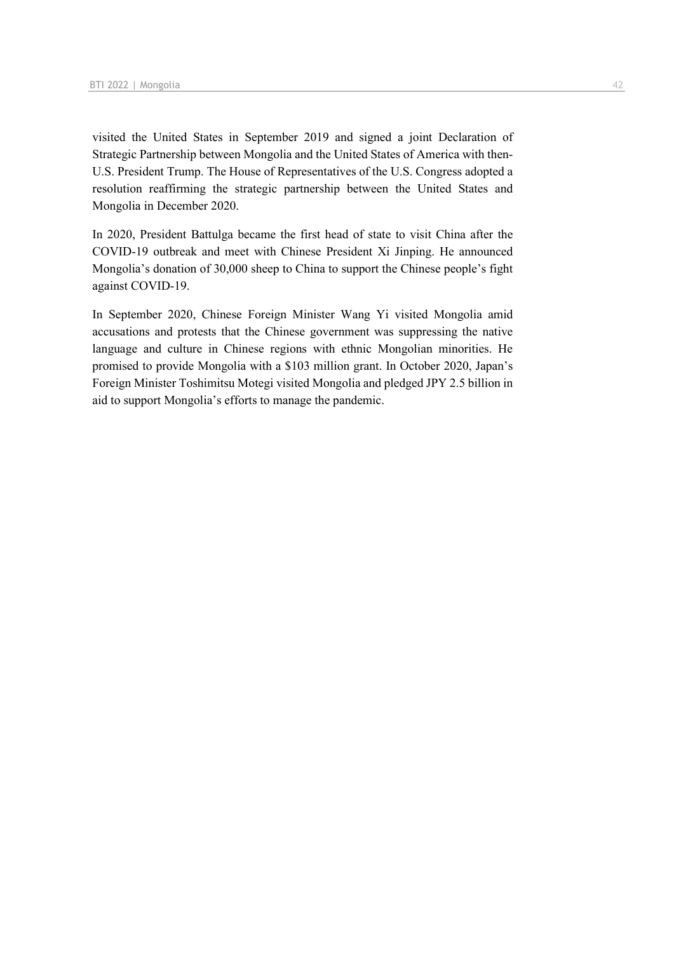visited the United States in September 2019 and signed a joint Declaration of Strategic Partnership between Mongolia and the United States of America with then-U.S. President Trump. The House of Representatives of the U.S. Congress adopted a resolution reaffirming the strategic partnership between the United States and Mongolia in December 2020.

In 2020, President Battulga became the first head of state to visit China after the COVID-19 outbreak and meet with Chinese President Xi Jinping. He announced Mongolia's donation of 30,000 sheep to China to support the Chinese people's fight against COVID-19.

In September 2020, Chinese Foreign Minister Wang Yi visited Mongolia amid accusations and protests that the Chinese government was suppressing the native language and culture in Chinese regions with ethnic Mongolian minorities. He promised to provide Mongolia with a \$103 million grant. In October 2020, Japan's Foreign Minister Toshimitsu Motegi visited Mongolia and pledged JPY 2.5 billion in aid to support Mongolia's efforts to manage the pandemic.